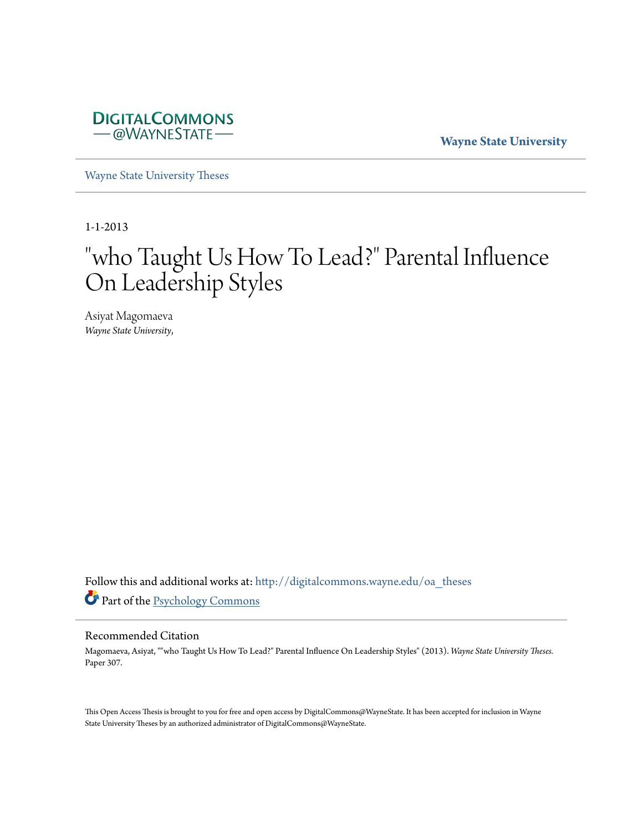

**Wayne State University**

[Wayne State University Theses](http://digitalcommons.wayne.edu/oa_theses?utm_source=digitalcommons.wayne.edu%2Foa_theses%2F307&utm_medium=PDF&utm_campaign=PDFCoverPages)

1-1-2013

# " who Taught Us How To Lead?" Parental Influence On Leadership Styles

Asiyat Magomaeva *Wayne State University*,

Follow this and additional works at: [http://digitalcommons.wayne.edu/oa\\_theses](http://digitalcommons.wayne.edu/oa_theses?utm_source=digitalcommons.wayne.edu%2Foa_theses%2F307&utm_medium=PDF&utm_campaign=PDFCoverPages) Part of the [Psychology Commons](http://network.bepress.com/hgg/discipline/404?utm_source=digitalcommons.wayne.edu%2Foa_theses%2F307&utm_medium=PDF&utm_campaign=PDFCoverPages)

#### Recommended Citation

Magomaeva, Asiyat, ""who Taught Us How To Lead?" Parental Influence On Leadership Styles" (2013). *Wayne State University Theses.* Paper 307.

This Open Access Thesis is brought to you for free and open access by DigitalCommons@WayneState. It has been accepted for inclusion in Wayne State University Theses by an authorized administrator of DigitalCommons@WayneState.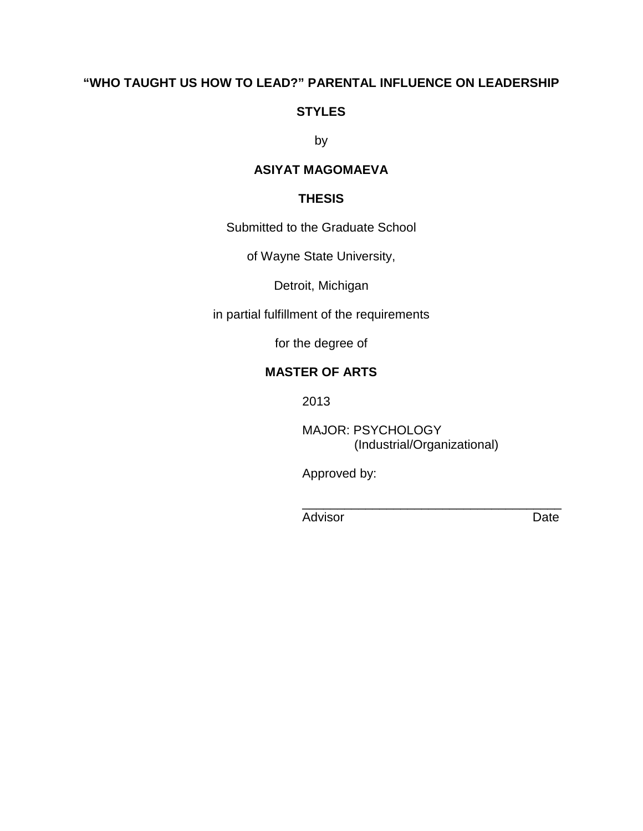## **"WHO TAUGHT US HOW TO LEAD?" PARENTAL INFLUENCE ON LEADERSHIP**

## **STYLES**

by

## **ASIYAT MAGOMAEVA**

## **THESIS**

Submitted to the Graduate School

of Wayne State University,

Detroit, Michigan

in partial fulfillment of the requirements

for the degree of

## **MASTER OF ARTS**

2013

MAJOR: PSYCHOLOGY (Industrial/Organizational)

\_\_\_\_\_\_\_\_\_\_\_\_\_\_\_\_\_\_\_\_\_\_\_\_\_\_\_\_\_\_\_\_\_\_\_\_\_

Approved by:

Advisor **Date**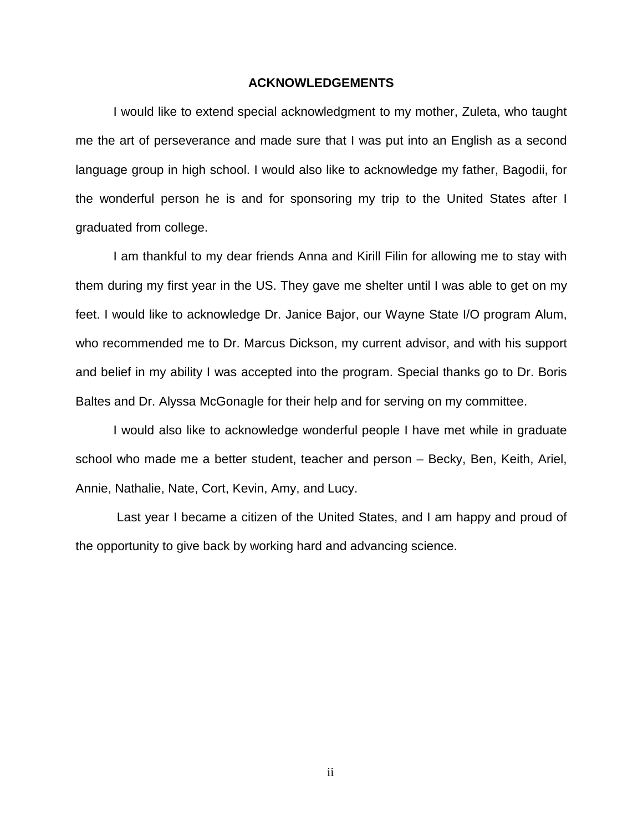#### **ACKNOWLEDGEMENTS**

 I would like to extend special acknowledgment to my mother, Zuleta, who taught me the art of perseverance and made sure that I was put into an English as a second language group in high school. I would also like to acknowledge my father, Bagodii, for the wonderful person he is and for sponsoring my trip to the United States after I graduated from college.

 I am thankful to my dear friends Anna and Kirill Filin for allowing me to stay with them during my first year in the US. They gave me shelter until I was able to get on my feet. I would like to acknowledge Dr. Janice Bajor, our Wayne State I/O program Alum, who recommended me to Dr. Marcus Dickson, my current advisor, and with his support and belief in my ability I was accepted into the program. Special thanks go to Dr. Boris Baltes and Dr. Alyssa McGonagle for their help and for serving on my committee.

 I would also like to acknowledge wonderful people I have met while in graduate school who made me a better student, teacher and person – Becky, Ben, Keith, Ariel, Annie, Nathalie, Nate, Cort, Kevin, Amy, and Lucy.

 Last year I became a citizen of the United States, and I am happy and proud of the opportunity to give back by working hard and advancing science.

ii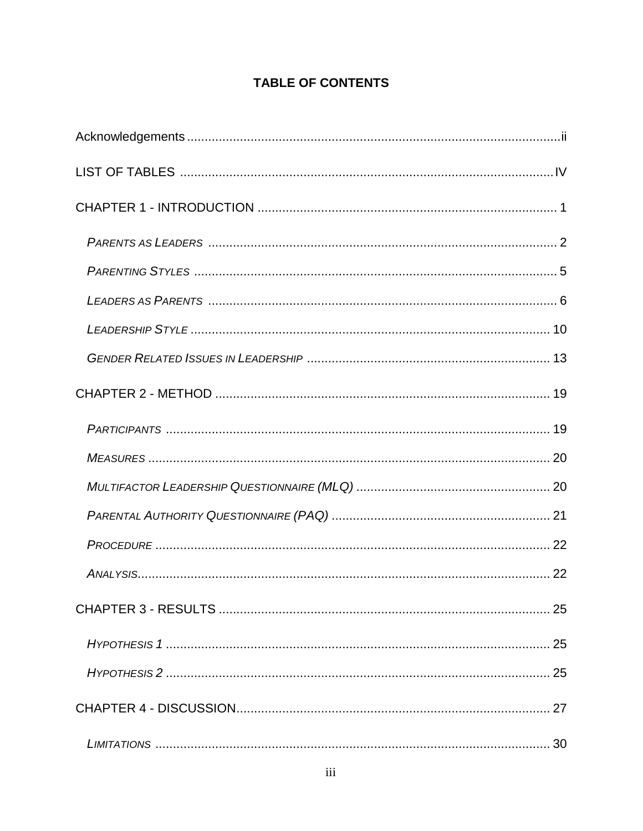## **TABLE OF CONTENTS**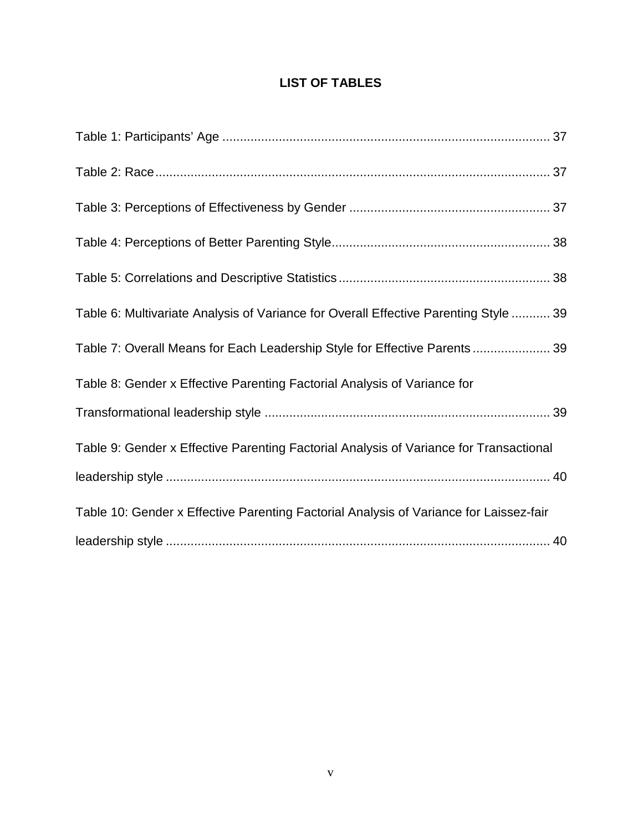## **LIST OF TABLES**

| Table 6: Multivariate Analysis of Variance for Overall Effective Parenting Style  39   |
|----------------------------------------------------------------------------------------|
| Table 7: Overall Means for Each Leadership Style for Effective Parents 39              |
| Table 8: Gender x Effective Parenting Factorial Analysis of Variance for               |
|                                                                                        |
| Table 9: Gender x Effective Parenting Factorial Analysis of Variance for Transactional |
|                                                                                        |
| Table 10: Gender x Effective Parenting Factorial Analysis of Variance for Laissez-fair |
|                                                                                        |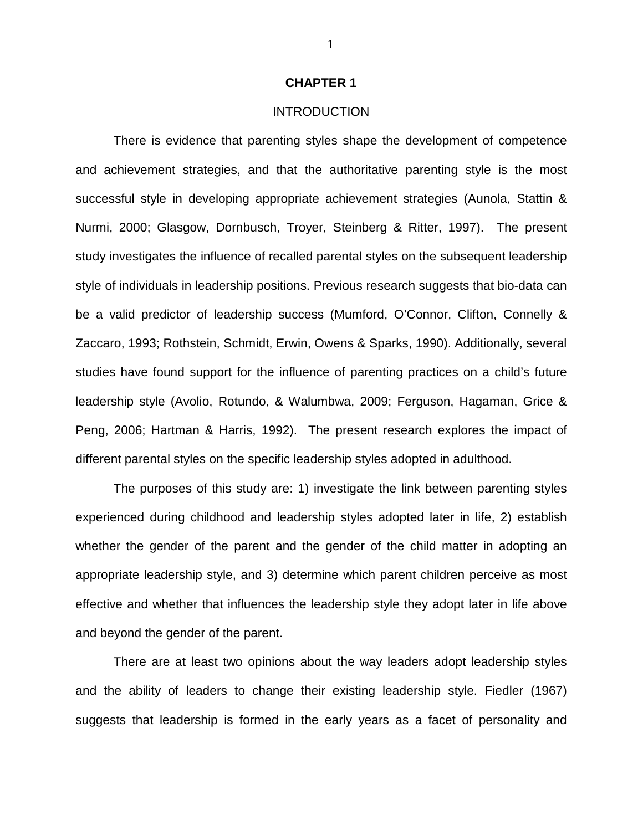#### **CHAPTER 1**

#### INTRODUCTION

There is evidence that parenting styles shape the development of competence and achievement strategies, and that the authoritative parenting style is the most successful style in developing appropriate achievement strategies (Aunola, Stattin & Nurmi, 2000; Glasgow, Dornbusch, Troyer, Steinberg & Ritter, 1997). The present study investigates the influence of recalled parental styles on the subsequent leadership style of individuals in leadership positions. Previous research suggests that bio-data can be a valid predictor of leadership success (Mumford, O'Connor, Clifton, Connelly & Zaccaro, 1993; Rothstein, Schmidt, Erwin, Owens & Sparks, 1990). Additionally, several studies have found support for the influence of parenting practices on a child's future leadership style (Avolio, Rotundo, & Walumbwa, 2009; Ferguson, Hagaman, Grice & Peng, 2006; Hartman & Harris, 1992). The present research explores the impact of different parental styles on the specific leadership styles adopted in adulthood.

The purposes of this study are: 1) investigate the link between parenting styles experienced during childhood and leadership styles adopted later in life, 2) establish whether the gender of the parent and the gender of the child matter in adopting an appropriate leadership style, and 3) determine which parent children perceive as most effective and whether that influences the leadership style they adopt later in life above and beyond the gender of the parent.

There are at least two opinions about the way leaders adopt leadership styles and the ability of leaders to change their existing leadership style. Fiedler (1967) suggests that leadership is formed in the early years as a facet of personality and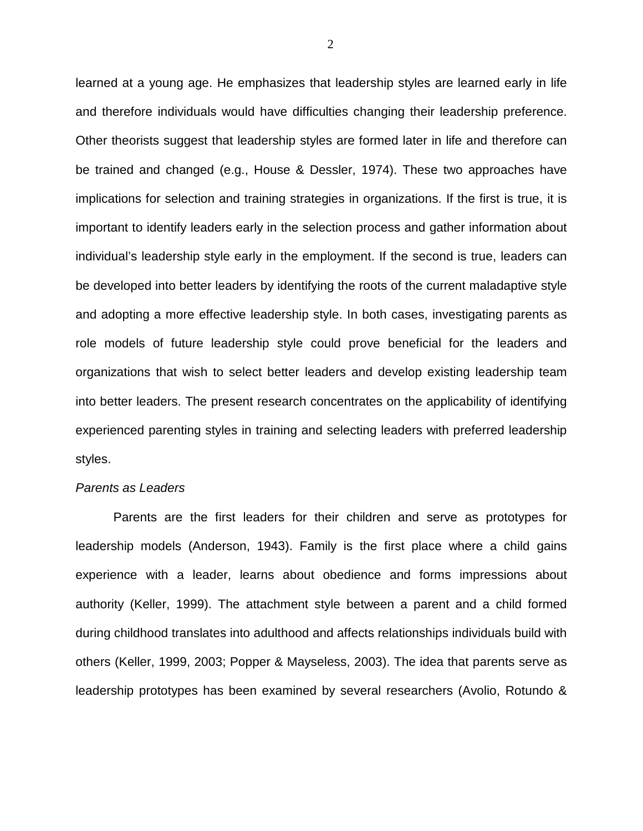learned at a young age. He emphasizes that leadership styles are learned early in life and therefore individuals would have difficulties changing their leadership preference. Other theorists suggest that leadership styles are formed later in life and therefore can be trained and changed (e.g., House & Dessler, 1974). These two approaches have implications for selection and training strategies in organizations. If the first is true, it is important to identify leaders early in the selection process and gather information about individual's leadership style early in the employment. If the second is true, leaders can be developed into better leaders by identifying the roots of the current maladaptive style and adopting a more effective leadership style. In both cases, investigating parents as role models of future leadership style could prove beneficial for the leaders and organizations that wish to select better leaders and develop existing leadership team into better leaders. The present research concentrates on the applicability of identifying experienced parenting styles in training and selecting leaders with preferred leadership styles.

#### Parents as Leaders

Parents are the first leaders for their children and serve as prototypes for leadership models (Anderson, 1943). Family is the first place where a child gains experience with a leader, learns about obedience and forms impressions about authority (Keller, 1999). The attachment style between a parent and a child formed during childhood translates into adulthood and affects relationships individuals build with others (Keller, 1999, 2003; Popper & Mayseless, 2003). The idea that parents serve as leadership prototypes has been examined by several researchers (Avolio, Rotundo &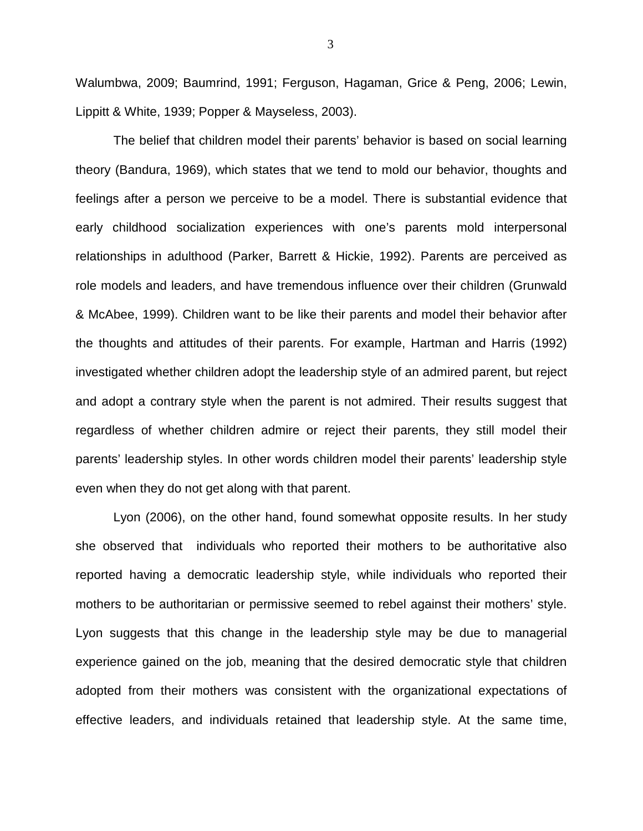Walumbwa, 2009; Baumrind, 1991; Ferguson, Hagaman, Grice & Peng, 2006; Lewin, Lippitt & White, 1939; Popper & Mayseless, 2003).

The belief that children model their parents' behavior is based on social learning theory (Bandura, 1969), which states that we tend to mold our behavior, thoughts and feelings after a person we perceive to be a model. There is substantial evidence that early childhood socialization experiences with one's parents mold interpersonal relationships in adulthood (Parker, Barrett & Hickie, 1992). Parents are perceived as role models and leaders, and have tremendous influence over their children (Grunwald & McAbee, 1999). Children want to be like their parents and model their behavior after the thoughts and attitudes of their parents. For example, Hartman and Harris (1992) investigated whether children adopt the leadership style of an admired parent, but reject and adopt a contrary style when the parent is not admired. Their results suggest that regardless of whether children admire or reject their parents, they still model their parents' leadership styles. In other words children model their parents' leadership style even when they do not get along with that parent.

Lyon (2006), on the other hand, found somewhat opposite results. In her study she observed that individuals who reported their mothers to be authoritative also reported having a democratic leadership style, while individuals who reported their mothers to be authoritarian or permissive seemed to rebel against their mothers' style. Lyon suggests that this change in the leadership style may be due to managerial experience gained on the job, meaning that the desired democratic style that children adopted from their mothers was consistent with the organizational expectations of effective leaders, and individuals retained that leadership style. At the same time,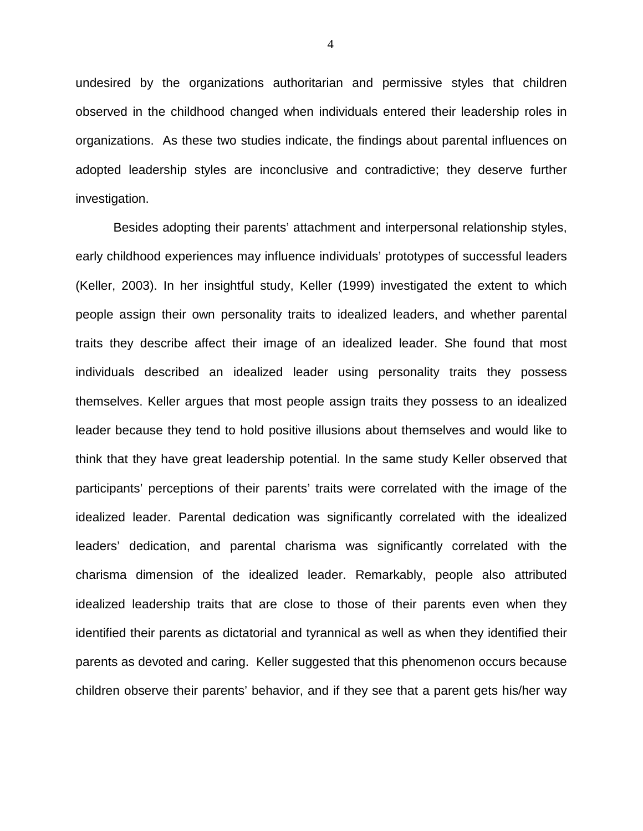undesired by the organizations authoritarian and permissive styles that children observed in the childhood changed when individuals entered their leadership roles in organizations. As these two studies indicate, the findings about parental influences on adopted leadership styles are inconclusive and contradictive; they deserve further investigation.

Besides adopting their parents' attachment and interpersonal relationship styles, early childhood experiences may influence individuals' prototypes of successful leaders (Keller, 2003). In her insightful study, Keller (1999) investigated the extent to which people assign their own personality traits to idealized leaders, and whether parental traits they describe affect their image of an idealized leader. She found that most individuals described an idealized leader using personality traits they possess themselves. Keller argues that most people assign traits they possess to an idealized leader because they tend to hold positive illusions about themselves and would like to think that they have great leadership potential. In the same study Keller observed that participants' perceptions of their parents' traits were correlated with the image of the idealized leader. Parental dedication was significantly correlated with the idealized leaders' dedication, and parental charisma was significantly correlated with the charisma dimension of the idealized leader. Remarkably, people also attributed idealized leadership traits that are close to those of their parents even when they identified their parents as dictatorial and tyrannical as well as when they identified their parents as devoted and caring. Keller suggested that this phenomenon occurs because children observe their parents' behavior, and if they see that a parent gets his/her way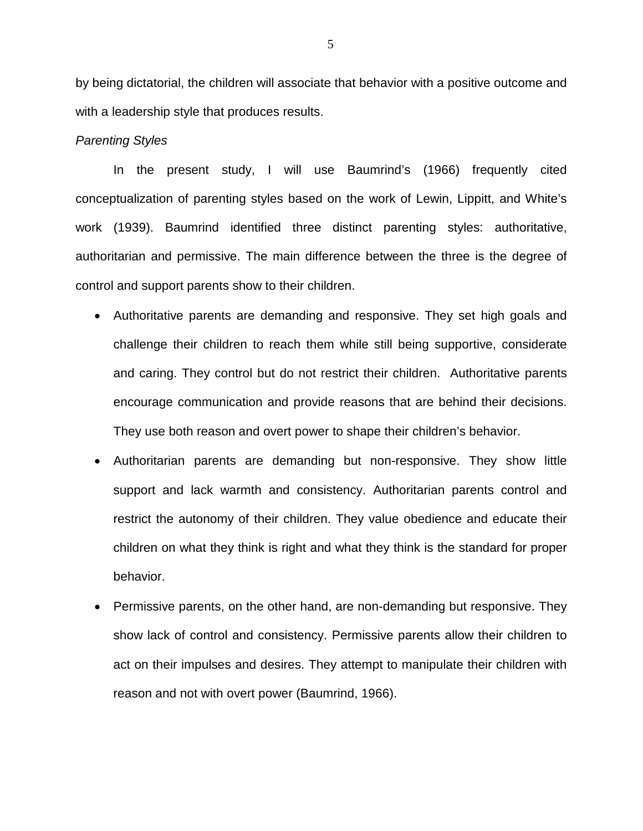by being dictatorial, the children will associate that behavior with a positive outcome and with a leadership style that produces results.

#### Parenting Styles

In the present study, I will use Baumrind's (1966) frequently cited conceptualization of parenting styles based on the work of Lewin, Lippitt, and White's work (1939). Baumrind identified three distinct parenting styles: authoritative, authoritarian and permissive. The main difference between the three is the degree of control and support parents show to their children.

- Authoritative parents are demanding and responsive. They set high goals and challenge their children to reach them while still being supportive, considerate and caring. They control but do not restrict their children. Authoritative parents encourage communication and provide reasons that are behind their decisions. They use both reason and overt power to shape their children's behavior.
- Authoritarian parents are demanding but non-responsive. They show little support and lack warmth and consistency. Authoritarian parents control and restrict the autonomy of their children. They value obedience and educate their children on what they think is right and what they think is the standard for proper behavior.
- Permissive parents, on the other hand, are non-demanding but responsive. They show lack of control and consistency. Permissive parents allow their children to act on their impulses and desires. They attempt to manipulate their children with reason and not with overt power (Baumrind, 1966).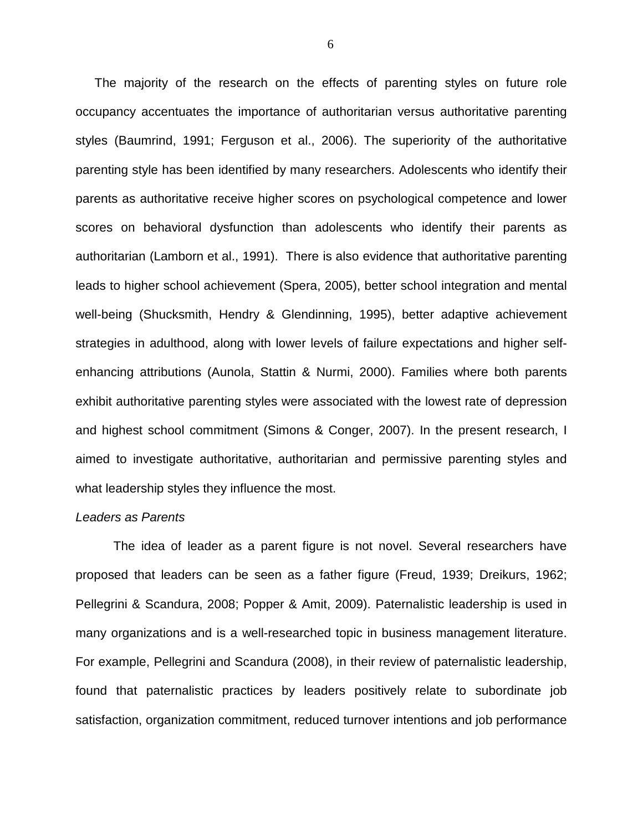The majority of the research on the effects of parenting styles on future role occupancy accentuates the importance of authoritarian versus authoritative parenting styles (Baumrind, 1991; Ferguson et al., 2006). The superiority of the authoritative parenting style has been identified by many researchers. Adolescents who identify their parents as authoritative receive higher scores on psychological competence and lower scores on behavioral dysfunction than adolescents who identify their parents as authoritarian (Lamborn et al., 1991). There is also evidence that authoritative parenting leads to higher school achievement (Spera, 2005), better school integration and mental well-being (Shucksmith, Hendry & Glendinning, 1995), better adaptive achievement strategies in adulthood, along with lower levels of failure expectations and higher selfenhancing attributions (Aunola, Stattin & Nurmi, 2000). Families where both parents exhibit authoritative parenting styles were associated with the lowest rate of depression and highest school commitment (Simons & Conger, 2007). In the present research, I aimed to investigate authoritative, authoritarian and permissive parenting styles and what leadership styles they influence the most.

#### Leaders as Parents

The idea of leader as a parent figure is not novel. Several researchers have proposed that leaders can be seen as a father figure (Freud, 1939; Dreikurs, 1962; Pellegrini & Scandura, 2008; Popper & Amit, 2009). Paternalistic leadership is used in many organizations and is a well-researched topic in business management literature. For example, Pellegrini and Scandura (2008), in their review of paternalistic leadership, found that paternalistic practices by leaders positively relate to subordinate job satisfaction, organization commitment, reduced turnover intentions and job performance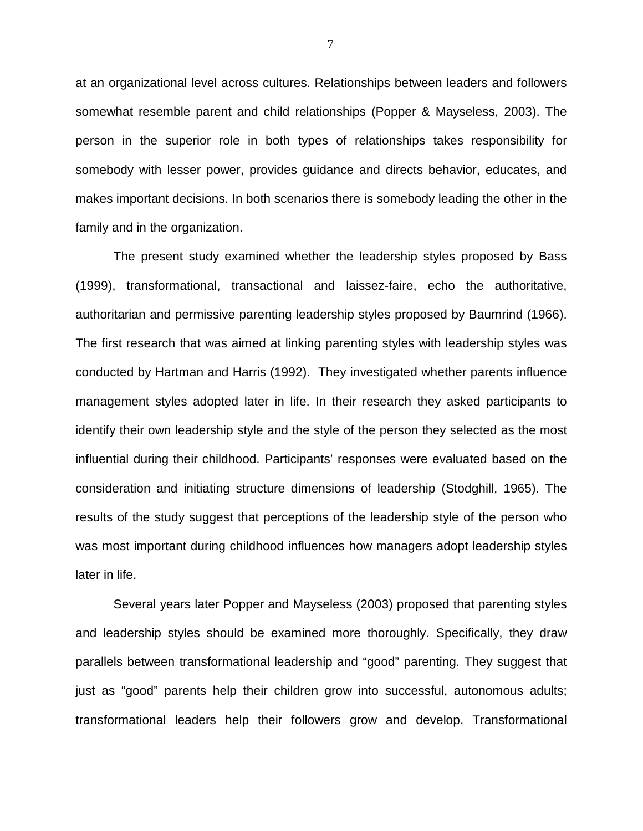at an organizational level across cultures. Relationships between leaders and followers somewhat resemble parent and child relationships (Popper & Mayseless, 2003). The person in the superior role in both types of relationships takes responsibility for somebody with lesser power, provides guidance and directs behavior, educates, and makes important decisions. In both scenarios there is somebody leading the other in the family and in the organization.

The present study examined whether the leadership styles proposed by Bass (1999), transformational, transactional and laissez-faire, echo the authoritative, authoritarian and permissive parenting leadership styles proposed by Baumrind (1966). The first research that was aimed at linking parenting styles with leadership styles was conducted by Hartman and Harris (1992). They investigated whether parents influence management styles adopted later in life. In their research they asked participants to identify their own leadership style and the style of the person they selected as the most influential during their childhood. Participants' responses were evaluated based on the consideration and initiating structure dimensions of leadership (Stodghill, 1965). The results of the study suggest that perceptions of the leadership style of the person who was most important during childhood influences how managers adopt leadership styles later in life.

Several years later Popper and Mayseless (2003) proposed that parenting styles and leadership styles should be examined more thoroughly. Specifically, they draw parallels between transformational leadership and "good" parenting. They suggest that just as "good" parents help their children grow into successful, autonomous adults; transformational leaders help their followers grow and develop. Transformational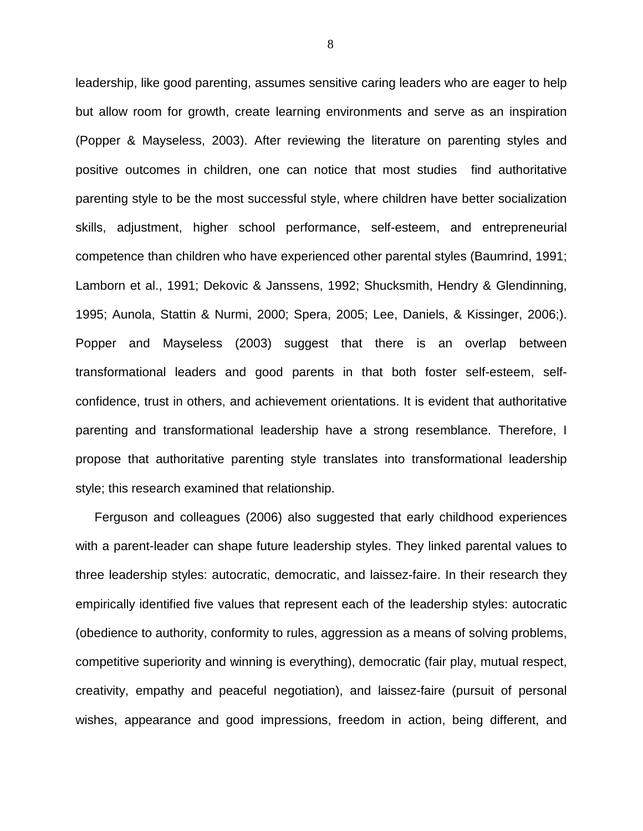leadership, like good parenting, assumes sensitive caring leaders who are eager to help but allow room for growth, create learning environments and serve as an inspiration (Popper & Mayseless, 2003). After reviewing the literature on parenting styles and positive outcomes in children, one can notice that most studies find authoritative parenting style to be the most successful style, where children have better socialization skills, adjustment, higher school performance, self-esteem, and entrepreneurial competence than children who have experienced other parental styles (Baumrind, 1991; Lamborn et al., 1991; Dekovic & Janssens, 1992; Shucksmith, Hendry & Glendinning, 1995; Aunola, Stattin & Nurmi, 2000; Spera, 2005; Lee, Daniels, & Kissinger, 2006;). Popper and Mayseless (2003) suggest that there is an overlap between transformational leaders and good parents in that both foster self-esteem, selfconfidence, trust in others, and achievement orientations. It is evident that authoritative parenting and transformational leadership have a strong resemblance. Therefore, I propose that authoritative parenting style translates into transformational leadership style; this research examined that relationship.

Ferguson and colleagues (2006) also suggested that early childhood experiences with a parent-leader can shape future leadership styles. They linked parental values to three leadership styles: autocratic, democratic, and laissez-faire. In their research they empirically identified five values that represent each of the leadership styles: autocratic (obedience to authority, conformity to rules, aggression as a means of solving problems, competitive superiority and winning is everything), democratic (fair play, mutual respect, creativity, empathy and peaceful negotiation), and laissez-faire (pursuit of personal wishes, appearance and good impressions, freedom in action, being different, and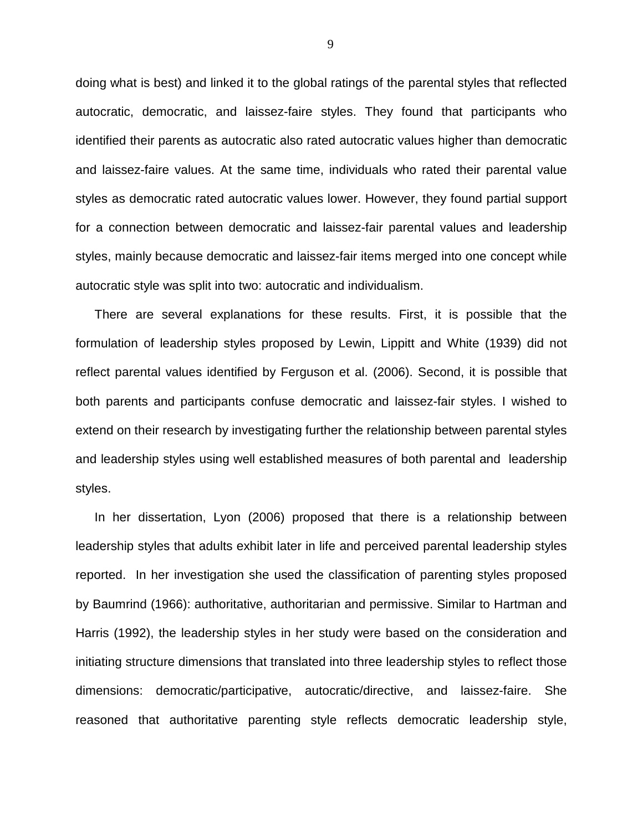doing what is best) and linked it to the global ratings of the parental styles that reflected autocratic, democratic, and laissez-faire styles. They found that participants who identified their parents as autocratic also rated autocratic values higher than democratic and laissez-faire values. At the same time, individuals who rated their parental value styles as democratic rated autocratic values lower. However, they found partial support for a connection between democratic and laissez-fair parental values and leadership styles, mainly because democratic and laissez-fair items merged into one concept while autocratic style was split into two: autocratic and individualism.

There are several explanations for these results. First, it is possible that the formulation of leadership styles proposed by Lewin, Lippitt and White (1939) did not reflect parental values identified by Ferguson et al. (2006). Second, it is possible that both parents and participants confuse democratic and laissez-fair styles. I wished to extend on their research by investigating further the relationship between parental styles and leadership styles using well established measures of both parental and leadership styles.

In her dissertation, Lyon (2006) proposed that there is a relationship between leadership styles that adults exhibit later in life and perceived parental leadership styles reported. In her investigation she used the classification of parenting styles proposed by Baumrind (1966): authoritative, authoritarian and permissive. Similar to Hartman and Harris (1992), the leadership styles in her study were based on the consideration and initiating structure dimensions that translated into three leadership styles to reflect those dimensions: democratic/participative, autocratic/directive, and laissez-faire. She reasoned that authoritative parenting style reflects democratic leadership style,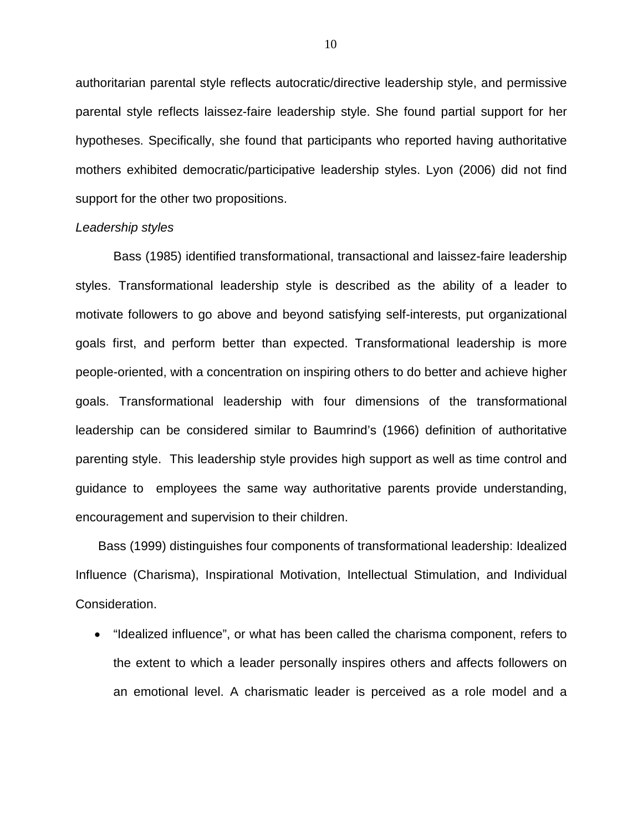authoritarian parental style reflects autocratic/directive leadership style, and permissive parental style reflects laissez-faire leadership style. She found partial support for her hypotheses. Specifically, she found that participants who reported having authoritative mothers exhibited democratic/participative leadership styles. Lyon (2006) did not find support for the other two propositions.

#### Leadership styles

Bass (1985) identified transformational, transactional and laissez-faire leadership styles. Transformational leadership style is described as the ability of a leader to motivate followers to go above and beyond satisfying self-interests, put organizational goals first, and perform better than expected. Transformational leadership is more people-oriented, with a concentration on inspiring others to do better and achieve higher goals. Transformational leadership with four dimensions of the transformational leadership can be considered similar to Baumrind's (1966) definition of authoritative parenting style. This leadership style provides high support as well as time control and guidance to employees the same way authoritative parents provide understanding, encouragement and supervision to their children.

 Bass (1999) distinguishes four components of transformational leadership: Idealized Influence (Charisma), Inspirational Motivation, Intellectual Stimulation, and Individual Consideration.

• "Idealized influence", or what has been called the charisma component, refers to the extent to which a leader personally inspires others and affects followers on an emotional level. A charismatic leader is perceived as a role model and a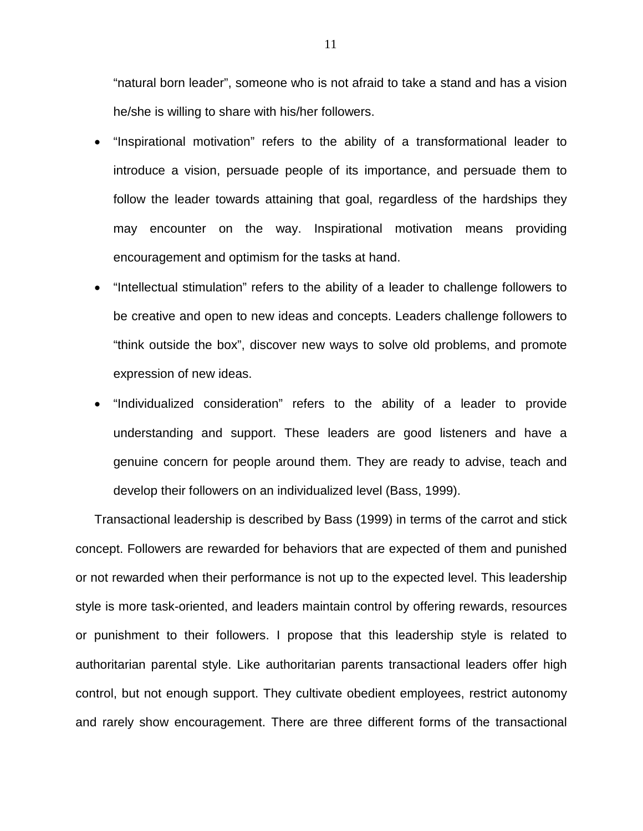"natural born leader", someone who is not afraid to take a stand and has a vision he/she is willing to share with his/her followers.

- "Inspirational motivation" refers to the ability of a transformational leader to introduce a vision, persuade people of its importance, and persuade them to follow the leader towards attaining that goal, regardless of the hardships they may encounter on the way. Inspirational motivation means providing encouragement and optimism for the tasks at hand.
- "Intellectual stimulation" refers to the ability of a leader to challenge followers to be creative and open to new ideas and concepts. Leaders challenge followers to "think outside the box", discover new ways to solve old problems, and promote expression of new ideas.
- "Individualized consideration" refers to the ability of a leader to provide understanding and support. These leaders are good listeners and have a genuine concern for people around them. They are ready to advise, teach and develop their followers on an individualized level (Bass, 1999).

Transactional leadership is described by Bass (1999) in terms of the carrot and stick concept. Followers are rewarded for behaviors that are expected of them and punished or not rewarded when their performance is not up to the expected level. This leadership style is more task-oriented, and leaders maintain control by offering rewards, resources or punishment to their followers. I propose that this leadership style is related to authoritarian parental style. Like authoritarian parents transactional leaders offer high control, but not enough support. They cultivate obedient employees, restrict autonomy and rarely show encouragement. There are three different forms of the transactional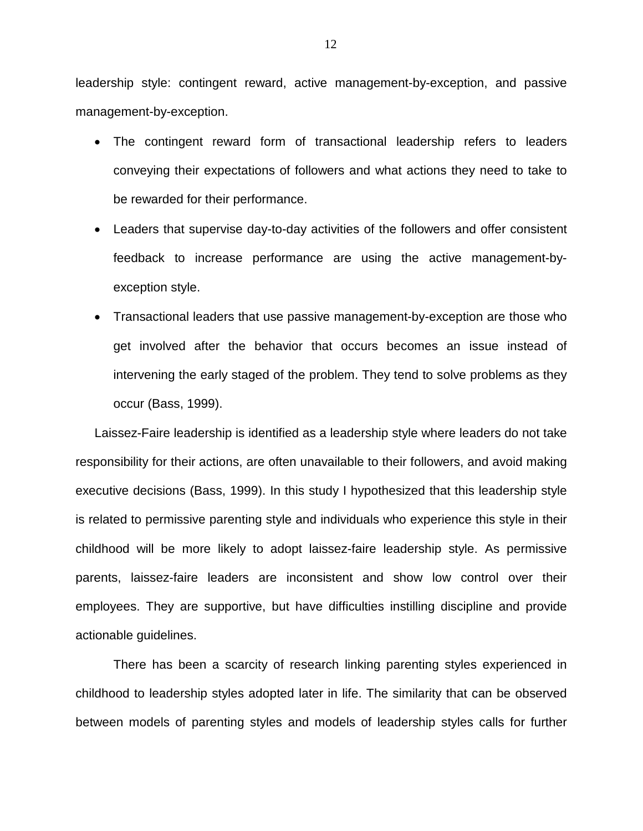leadership style: contingent reward, active management-by-exception, and passive management-by-exception.

- The contingent reward form of transactional leadership refers to leaders conveying their expectations of followers and what actions they need to take to be rewarded for their performance.
- Leaders that supervise day-to-day activities of the followers and offer consistent feedback to increase performance are using the active management-byexception style.
- Transactional leaders that use passive management-by-exception are those who get involved after the behavior that occurs becomes an issue instead of intervening the early staged of the problem. They tend to solve problems as they occur (Bass, 1999).

Laissez-Faire leadership is identified as a leadership style where leaders do not take responsibility for their actions, are often unavailable to their followers, and avoid making executive decisions (Bass, 1999). In this study I hypothesized that this leadership style is related to permissive parenting style and individuals who experience this style in their childhood will be more likely to adopt laissez-faire leadership style. As permissive parents, laissez-faire leaders are inconsistent and show low control over their employees. They are supportive, but have difficulties instilling discipline and provide actionable guidelines.

There has been a scarcity of research linking parenting styles experienced in childhood to leadership styles adopted later in life. The similarity that can be observed between models of parenting styles and models of leadership styles calls for further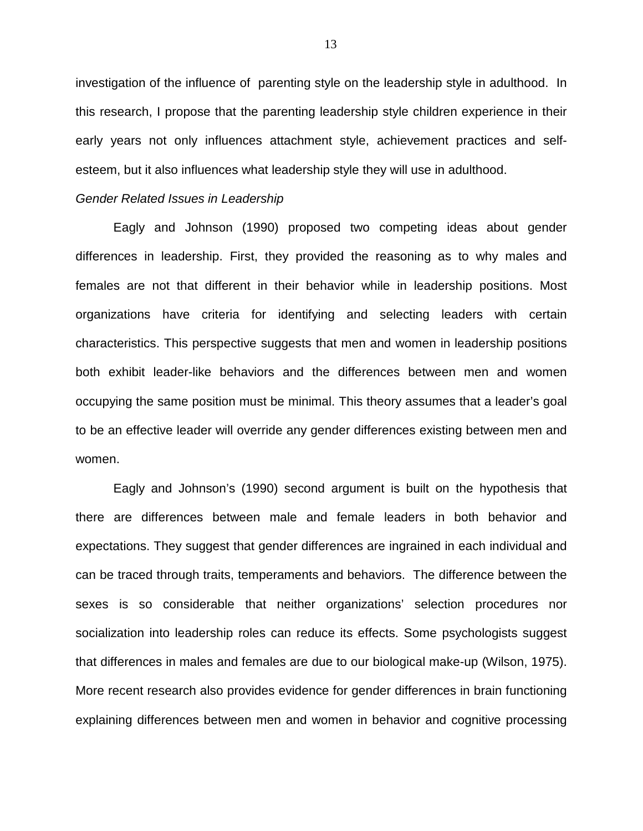investigation of the influence of parenting style on the leadership style in adulthood. In this research, I propose that the parenting leadership style children experience in their early years not only influences attachment style, achievement practices and selfesteem, but it also influences what leadership style they will use in adulthood.

#### Gender Related Issues in Leadership

Eagly and Johnson (1990) proposed two competing ideas about gender differences in leadership. First, they provided the reasoning as to why males and females are not that different in their behavior while in leadership positions. Most organizations have criteria for identifying and selecting leaders with certain characteristics. This perspective suggests that men and women in leadership positions both exhibit leader-like behaviors and the differences between men and women occupying the same position must be minimal. This theory assumes that a leader's goal to be an effective leader will override any gender differences existing between men and women.

Eagly and Johnson's (1990) second argument is built on the hypothesis that there are differences between male and female leaders in both behavior and expectations. They suggest that gender differences are ingrained in each individual and can be traced through traits, temperaments and behaviors. The difference between the sexes is so considerable that neither organizations' selection procedures nor socialization into leadership roles can reduce its effects. Some psychologists suggest that differences in males and females are due to our biological make-up (Wilson, 1975). More recent research also provides evidence for gender differences in brain functioning explaining differences between men and women in behavior and cognitive processing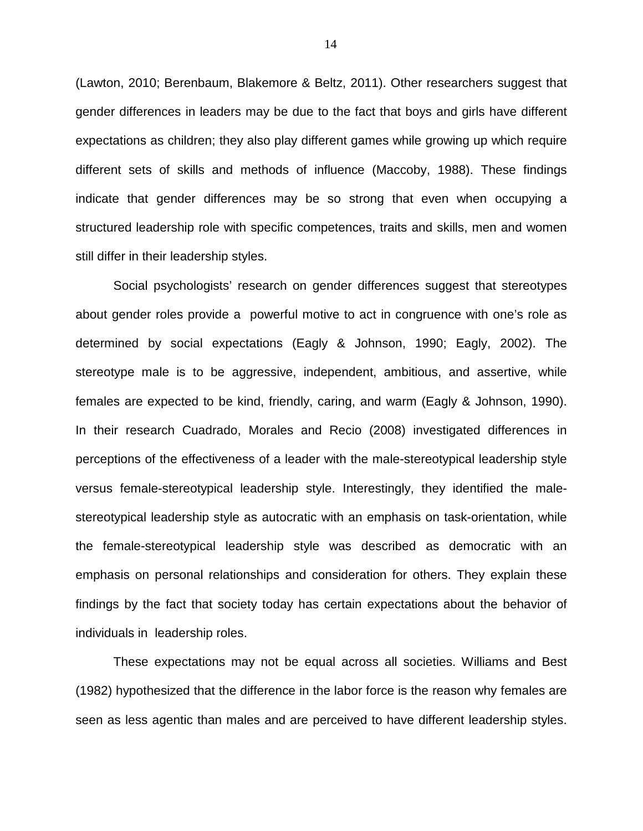(Lawton, 2010; Berenbaum, Blakemore & Beltz, 2011). Other researchers suggest that gender differences in leaders may be due to the fact that boys and girls have different expectations as children; they also play different games while growing up which require different sets of skills and methods of influence (Maccoby, 1988). These findings indicate that gender differences may be so strong that even when occupying a structured leadership role with specific competences, traits and skills, men and women still differ in their leadership styles.

Social psychologists' research on gender differences suggest that stereotypes about gender roles provide a powerful motive to act in congruence with one's role as determined by social expectations (Eagly & Johnson, 1990; Eagly, 2002). The stereotype male is to be aggressive, independent, ambitious, and assertive, while females are expected to be kind, friendly, caring, and warm (Eagly & Johnson, 1990). In their research Cuadrado, Morales and Recio (2008) investigated differences in perceptions of the effectiveness of a leader with the male-stereotypical leadership style versus female-stereotypical leadership style. Interestingly, they identified the malestereotypical leadership style as autocratic with an emphasis on task-orientation, while the female-stereotypical leadership style was described as democratic with an emphasis on personal relationships and consideration for others. They explain these findings by the fact that society today has certain expectations about the behavior of individuals in leadership roles.

These expectations may not be equal across all societies. Williams and Best (1982) hypothesized that the difference in the labor force is the reason why females are seen as less agentic than males and are perceived to have different leadership styles.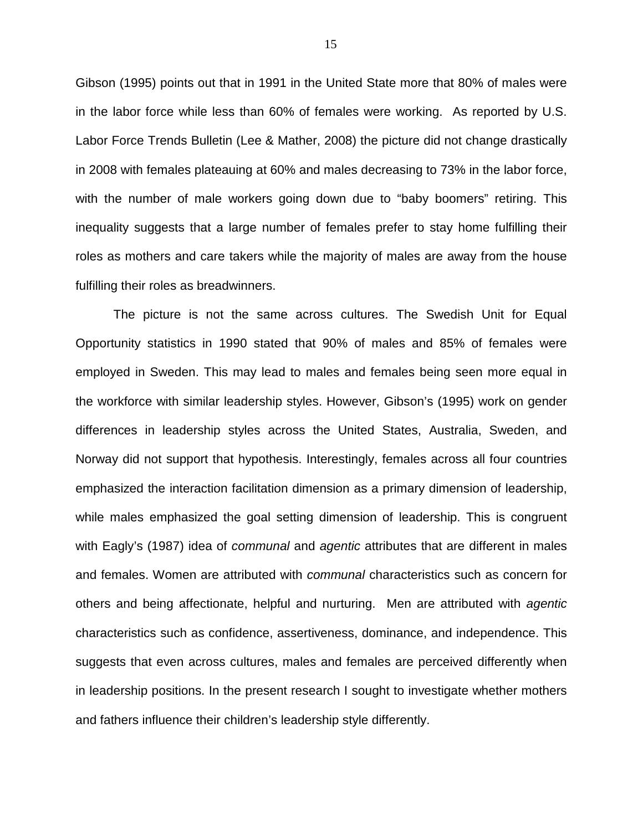Gibson (1995) points out that in 1991 in the United State more that 80% of males were in the labor force while less than 60% of females were working. As reported by U.S. Labor Force Trends Bulletin (Lee & Mather, 2008) the picture did not change drastically in 2008 with females plateauing at 60% and males decreasing to 73% in the labor force, with the number of male workers going down due to "baby boomers" retiring. This inequality suggests that a large number of females prefer to stay home fulfilling their roles as mothers and care takers while the majority of males are away from the house fulfilling their roles as breadwinners.

The picture is not the same across cultures. The Swedish Unit for Equal Opportunity statistics in 1990 stated that 90% of males and 85% of females were employed in Sweden. This may lead to males and females being seen more equal in the workforce with similar leadership styles. However, Gibson's (1995) work on gender differences in leadership styles across the United States, Australia, Sweden, and Norway did not support that hypothesis. Interestingly, females across all four countries emphasized the interaction facilitation dimension as a primary dimension of leadership, while males emphasized the goal setting dimension of leadership. This is congruent with Eagly's (1987) idea of *communal* and *agentic* attributes that are different in males and females. Women are attributed with communal characteristics such as concern for others and being affectionate, helpful and nurturing. Men are attributed with agentic characteristics such as confidence, assertiveness, dominance, and independence. This suggests that even across cultures, males and females are perceived differently when in leadership positions. In the present research I sought to investigate whether mothers and fathers influence their children's leadership style differently.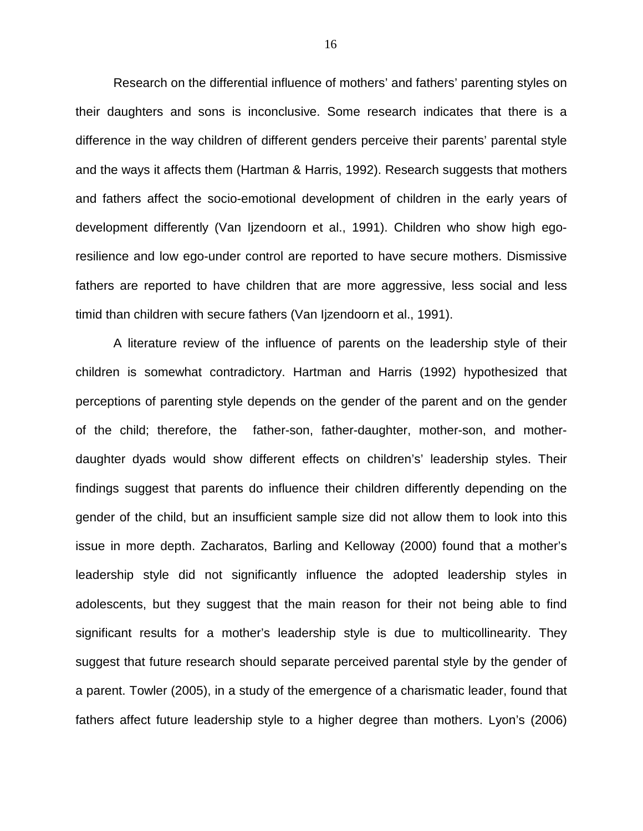Research on the differential influence of mothers' and fathers' parenting styles on their daughters and sons is inconclusive. Some research indicates that there is a difference in the way children of different genders perceive their parents' parental style and the ways it affects them (Hartman & Harris, 1992). Research suggests that mothers and fathers affect the socio-emotional development of children in the early years of development differently (Van Ijzendoorn et al., 1991). Children who show high egoresilience and low ego-under control are reported to have secure mothers. Dismissive fathers are reported to have children that are more aggressive, less social and less timid than children with secure fathers (Van Ijzendoorn et al., 1991).

A literature review of the influence of parents on the leadership style of their children is somewhat contradictory. Hartman and Harris (1992) hypothesized that perceptions of parenting style depends on the gender of the parent and on the gender of the child; therefore, the father-son, father-daughter, mother-son, and motherdaughter dyads would show different effects on children's' leadership styles. Their findings suggest that parents do influence their children differently depending on the gender of the child, but an insufficient sample size did not allow them to look into this issue in more depth. Zacharatos, Barling and Kelloway (2000) found that a mother's leadership style did not significantly influence the adopted leadership styles in adolescents, but they suggest that the main reason for their not being able to find significant results for a mother's leadership style is due to multicollinearity. They suggest that future research should separate perceived parental style by the gender of a parent. Towler (2005), in a study of the emergence of a charismatic leader, found that fathers affect future leadership style to a higher degree than mothers. Lyon's (2006)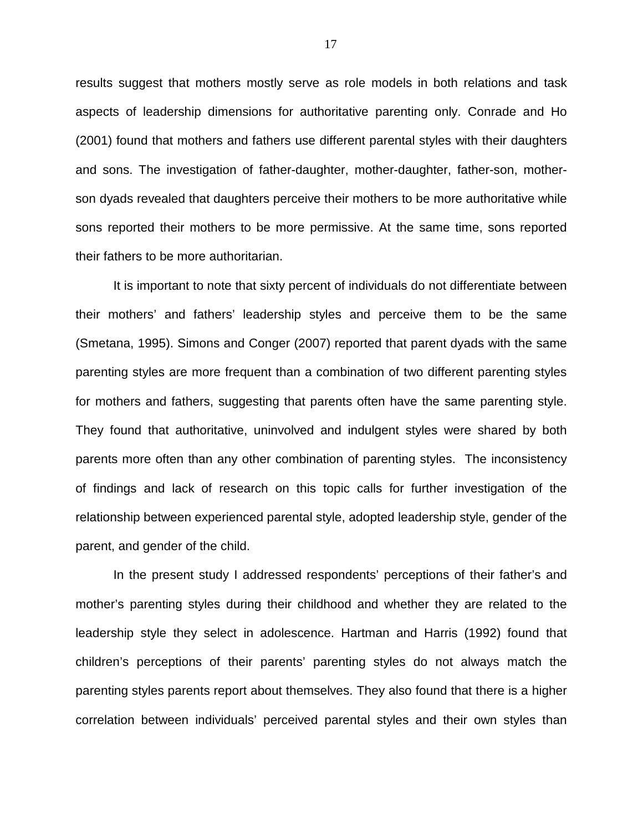results suggest that mothers mostly serve as role models in both relations and task aspects of leadership dimensions for authoritative parenting only. Conrade and Ho (2001) found that mothers and fathers use different parental styles with their daughters and sons. The investigation of father-daughter, mother-daughter, father-son, motherson dyads revealed that daughters perceive their mothers to be more authoritative while sons reported their mothers to be more permissive. At the same time, sons reported their fathers to be more authoritarian.

It is important to note that sixty percent of individuals do not differentiate between their mothers' and fathers' leadership styles and perceive them to be the same (Smetana, 1995). Simons and Conger (2007) reported that parent dyads with the same parenting styles are more frequent than a combination of two different parenting styles for mothers and fathers, suggesting that parents often have the same parenting style. They found that authoritative, uninvolved and indulgent styles were shared by both parents more often than any other combination of parenting styles. The inconsistency of findings and lack of research on this topic calls for further investigation of the relationship between experienced parental style, adopted leadership style, gender of the parent, and gender of the child.

In the present study I addressed respondents' perceptions of their father's and mother's parenting styles during their childhood and whether they are related to the leadership style they select in adolescence. Hartman and Harris (1992) found that children's perceptions of their parents' parenting styles do not always match the parenting styles parents report about themselves. They also found that there is a higher correlation between individuals' perceived parental styles and their own styles than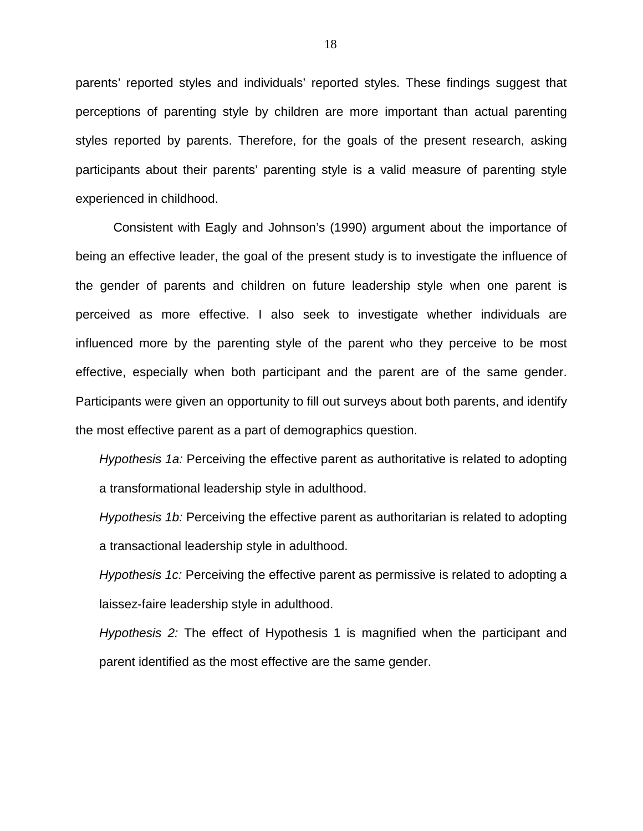parents' reported styles and individuals' reported styles. These findings suggest that perceptions of parenting style by children are more important than actual parenting styles reported by parents. Therefore, for the goals of the present research, asking participants about their parents' parenting style is a valid measure of parenting style experienced in childhood.

Consistent with Eagly and Johnson's (1990) argument about the importance of being an effective leader, the goal of the present study is to investigate the influence of the gender of parents and children on future leadership style when one parent is perceived as more effective. I also seek to investigate whether individuals are influenced more by the parenting style of the parent who they perceive to be most effective, especially when both participant and the parent are of the same gender. Participants were given an opportunity to fill out surveys about both parents, and identify the most effective parent as a part of demographics question.

Hypothesis 1a: Perceiving the effective parent as authoritative is related to adopting a transformational leadership style in adulthood.

Hypothesis 1b: Perceiving the effective parent as authoritarian is related to adopting a transactional leadership style in adulthood.

Hypothesis 1c: Perceiving the effective parent as permissive is related to adopting a laissez-faire leadership style in adulthood.

Hypothesis 2: The effect of Hypothesis 1 is magnified when the participant and parent identified as the most effective are the same gender.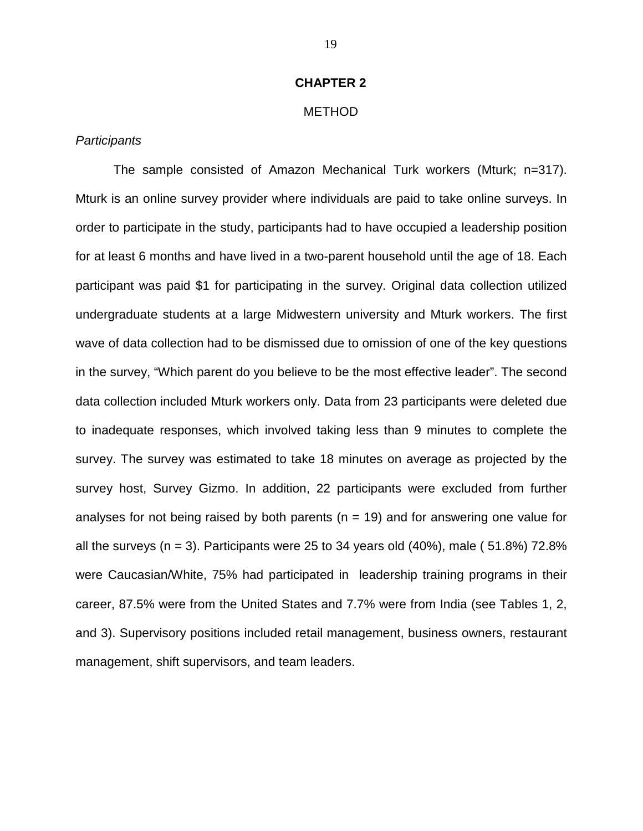#### **CHAPTER 2**

#### METHOD

#### **Participants**

 The sample consisted of Amazon Mechanical Turk workers (Mturk; n=317). Mturk is an online survey provider where individuals are paid to take online surveys. In order to participate in the study, participants had to have occupied a leadership position for at least 6 months and have lived in a two-parent household until the age of 18. Each participant was paid \$1 for participating in the survey. Original data collection utilized undergraduate students at a large Midwestern university and Mturk workers. The first wave of data collection had to be dismissed due to omission of one of the key questions in the survey, "Which parent do you believe to be the most effective leader". The second data collection included Mturk workers only. Data from 23 participants were deleted due to inadequate responses, which involved taking less than 9 minutes to complete the survey. The survey was estimated to take 18 minutes on average as projected by the survey host, Survey Gizmo. In addition, 22 participants were excluded from further analyses for not being raised by both parents ( $n = 19$ ) and for answering one value for all the surveys (n = 3). Participants were 25 to 34 years old (40%), male (51.8%) 72.8% were Caucasian/White, 75% had participated in leadership training programs in their career, 87.5% were from the United States and 7.7% were from India (see Tables 1, 2, and 3). Supervisory positions included retail management, business owners, restaurant management, shift supervisors, and team leaders.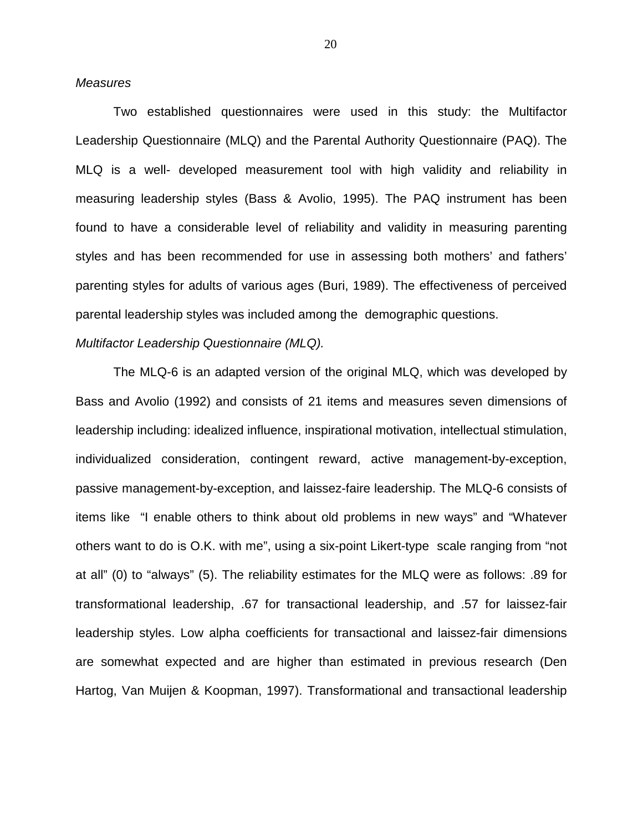#### **Measures**

Two established questionnaires were used in this study: the Multifactor Leadership Questionnaire (MLQ) and the Parental Authority Questionnaire (PAQ). The MLQ is a well- developed measurement tool with high validity and reliability in measuring leadership styles (Bass & Avolio, 1995). The PAQ instrument has been found to have a considerable level of reliability and validity in measuring parenting styles and has been recommended for use in assessing both mothers' and fathers' parenting styles for adults of various ages (Buri, 1989). The effectiveness of perceived parental leadership styles was included among the demographic questions.

#### Multifactor Leadership Questionnaire (MLQ).

 The MLQ-6 is an adapted version of the original MLQ, which was developed by Bass and Avolio (1992) and consists of 21 items and measures seven dimensions of leadership including: idealized influence, inspirational motivation, intellectual stimulation, individualized consideration, contingent reward, active management-by-exception, passive management-by-exception, and laissez-faire leadership. The MLQ-6 consists of items like "I enable others to think about old problems in new ways" and "Whatever others want to do is O.K. with me", using a six-point Likert-type scale ranging from "not at all" (0) to "always" (5). The reliability estimates for the MLQ were as follows: .89 for transformational leadership, .67 for transactional leadership, and .57 for laissez-fair leadership styles. Low alpha coefficients for transactional and laissez-fair dimensions are somewhat expected and are higher than estimated in previous research (Den Hartog, Van Muijen & Koopman, 1997). Transformational and transactional leadership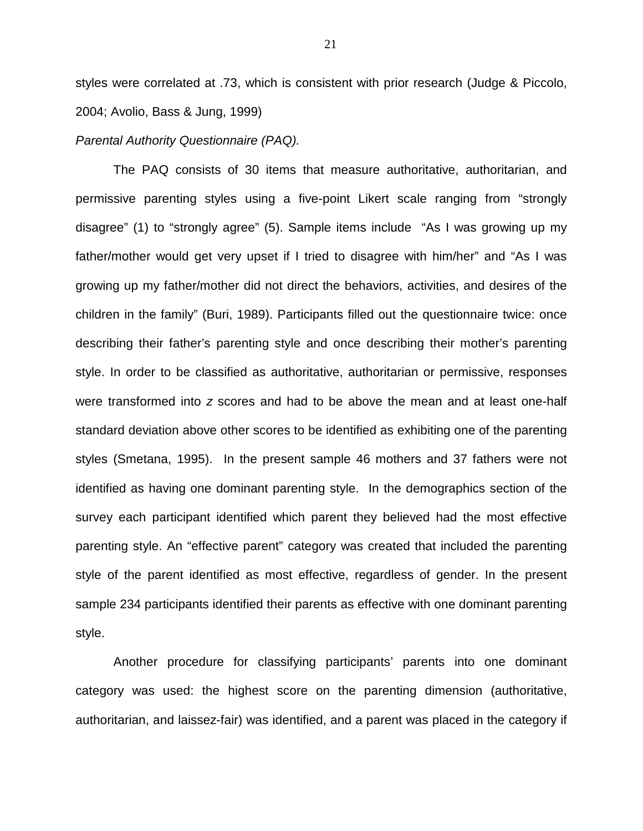styles were correlated at .73, which is consistent with prior research (Judge & Piccolo, 2004; Avolio, Bass & Jung, 1999)

#### Parental Authority Questionnaire (PAQ).

The PAQ consists of 30 items that measure authoritative, authoritarian, and permissive parenting styles using a five-point Likert scale ranging from "strongly disagree" (1) to "strongly agree" (5). Sample items include "As I was growing up my father/mother would get very upset if I tried to disagree with him/her" and "As I was growing up my father/mother did not direct the behaviors, activities, and desires of the children in the family" (Buri, 1989). Participants filled out the questionnaire twice: once describing their father's parenting style and once describing their mother's parenting style. In order to be classified as authoritative, authoritarian or permissive, responses were transformed into z scores and had to be above the mean and at least one-half standard deviation above other scores to be identified as exhibiting one of the parenting styles (Smetana, 1995). In the present sample 46 mothers and 37 fathers were not identified as having one dominant parenting style. In the demographics section of the survey each participant identified which parent they believed had the most effective parenting style. An "effective parent" category was created that included the parenting style of the parent identified as most effective, regardless of gender. In the present sample 234 participants identified their parents as effective with one dominant parenting style.

 Another procedure for classifying participants' parents into one dominant category was used: the highest score on the parenting dimension (authoritative, authoritarian, and laissez-fair) was identified, and a parent was placed in the category if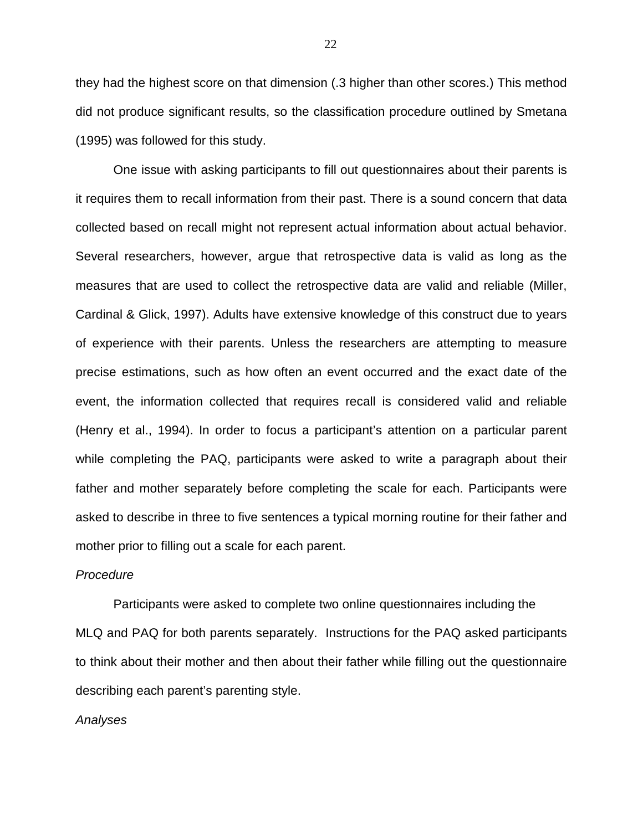they had the highest score on that dimension (.3 higher than other scores.) This method did not produce significant results, so the classification procedure outlined by Smetana (1995) was followed for this study.

 One issue with asking participants to fill out questionnaires about their parents is it requires them to recall information from their past. There is a sound concern that data collected based on recall might not represent actual information about actual behavior. Several researchers, however, argue that retrospective data is valid as long as the measures that are used to collect the retrospective data are valid and reliable (Miller, Cardinal & Glick, 1997). Adults have extensive knowledge of this construct due to years of experience with their parents. Unless the researchers are attempting to measure precise estimations, such as how often an event occurred and the exact date of the event, the information collected that requires recall is considered valid and reliable (Henry et al., 1994). In order to focus a participant's attention on a particular parent while completing the PAQ, participants were asked to write a paragraph about their father and mother separately before completing the scale for each. Participants were asked to describe in three to five sentences a typical morning routine for their father and mother prior to filling out a scale for each parent.

#### Procedure

 Participants were asked to complete two online questionnaires including the MLQ and PAQ for both parents separately. Instructions for the PAQ asked participants to think about their mother and then about their father while filling out the questionnaire describing each parent's parenting style.

#### Analyses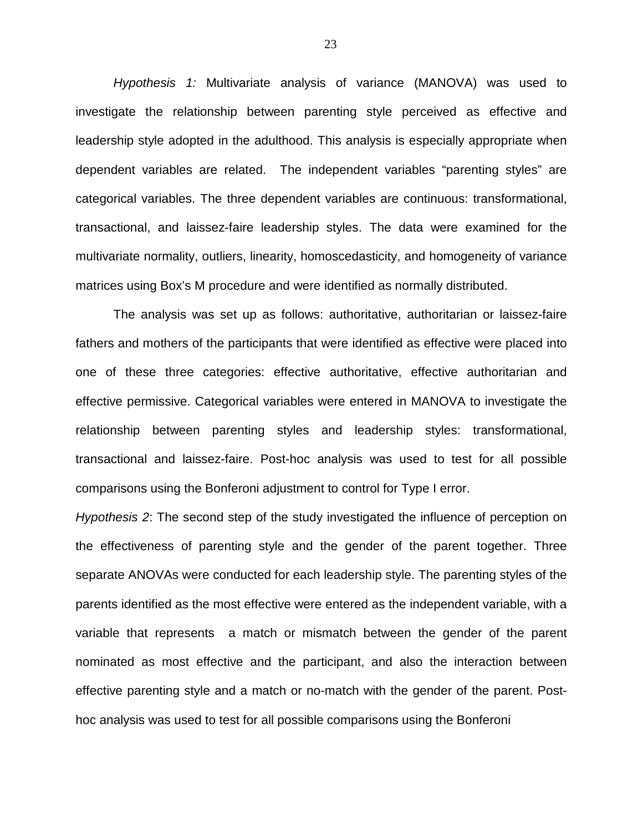Hypothesis 1: Multivariate analysis of variance (MANOVA) was used to investigate the relationship between parenting style perceived as effective and leadership style adopted in the adulthood. This analysis is especially appropriate when dependent variables are related. The independent variables "parenting styles" are categorical variables. The three dependent variables are continuous: transformational, transactional, and laissez-faire leadership styles. The data were examined for the multivariate normality, outliers, linearity, homoscedasticity, and homogeneity of variance matrices using Box's M procedure and were identified as normally distributed.

 The analysis was set up as follows: authoritative, authoritarian or laissez-faire fathers and mothers of the participants that were identified as effective were placed into one of these three categories: effective authoritative, effective authoritarian and effective permissive. Categorical variables were entered in MANOVA to investigate the relationship between parenting styles and leadership styles: transformational, transactional and laissez-faire. Post-hoc analysis was used to test for all possible comparisons using the Bonferoni adjustment to control for Type I error.

Hypothesis 2: The second step of the study investigated the influence of perception on the effectiveness of parenting style and the gender of the parent together. Three separate ANOVAs were conducted for each leadership style. The parenting styles of the parents identified as the most effective were entered as the independent variable, with a variable that represents a match or mismatch between the gender of the parent nominated as most effective and the participant, and also the interaction between effective parenting style and a match or no-match with the gender of the parent. Posthoc analysis was used to test for all possible comparisons using the Bonferoni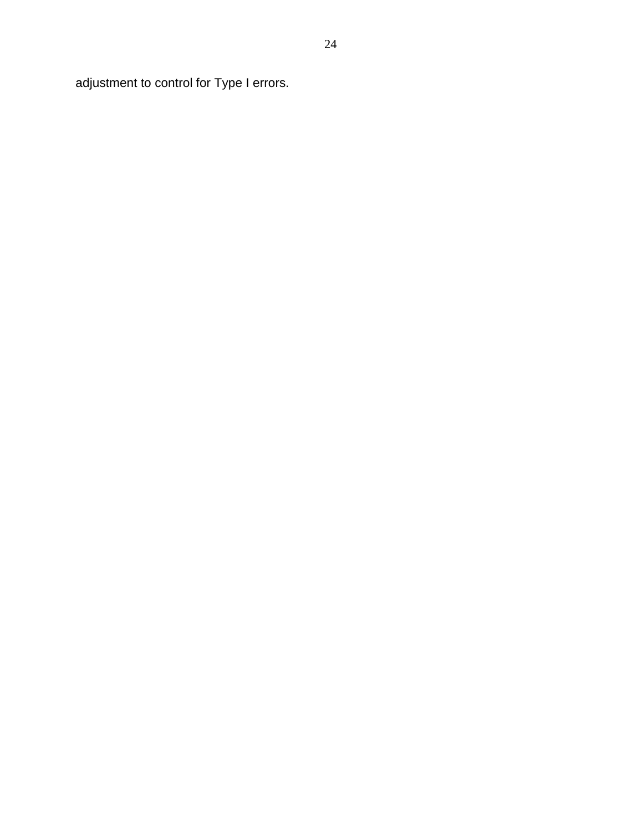adjustment to control for Type I errors.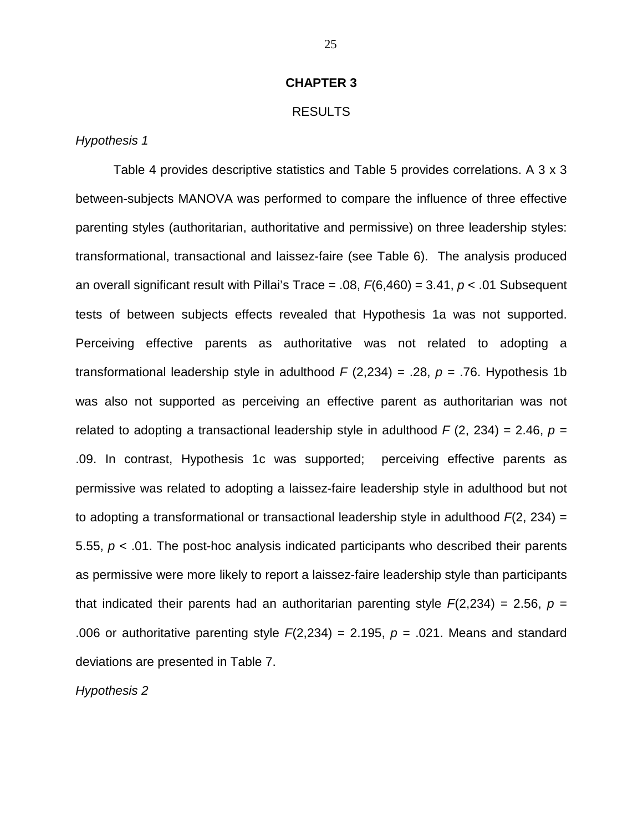#### **CHAPTER 3**

#### RESULTS

#### Hypothesis 1

Table 4 provides descriptive statistics and Table 5 provides correlations. A 3 x 3 between-subjects MANOVA was performed to compare the influence of three effective parenting styles (authoritarian, authoritative and permissive) on three leadership styles: transformational, transactional and laissez-faire (see Table 6). The analysis produced an overall significant result with Pillai's Trace = .08,  $F(6,460) = 3.41$ ,  $p < .01$  Subsequent tests of between subjects effects revealed that Hypothesis 1a was not supported. Perceiving effective parents as authoritative was not related to adopting a transformational leadership style in adulthood  $F(2,234) = .28$ ,  $p = .76$ . Hypothesis 1b was also not supported as perceiving an effective parent as authoritarian was not related to adopting a transactional leadership style in adulthood  $F(2, 234) = 2.46$ ,  $p =$ .09. In contrast, Hypothesis 1c was supported; perceiving effective parents as permissive was related to adopting a laissez-faire leadership style in adulthood but not to adopting a transformational or transactional leadership style in adulthood  $F(2, 234) =$ 5.55,  $p < 0.01$ . The post-hoc analysis indicated participants who described their parents as permissive were more likely to report a laissez-faire leadership style than participants that indicated their parents had an authoritarian parenting style  $F(2,234) = 2.56$ ,  $p =$ .006 or authoritative parenting style  $F(2,234) = 2.195$ ,  $p = .021$ . Means and standard deviations are presented in Table 7.

Hypothesis 2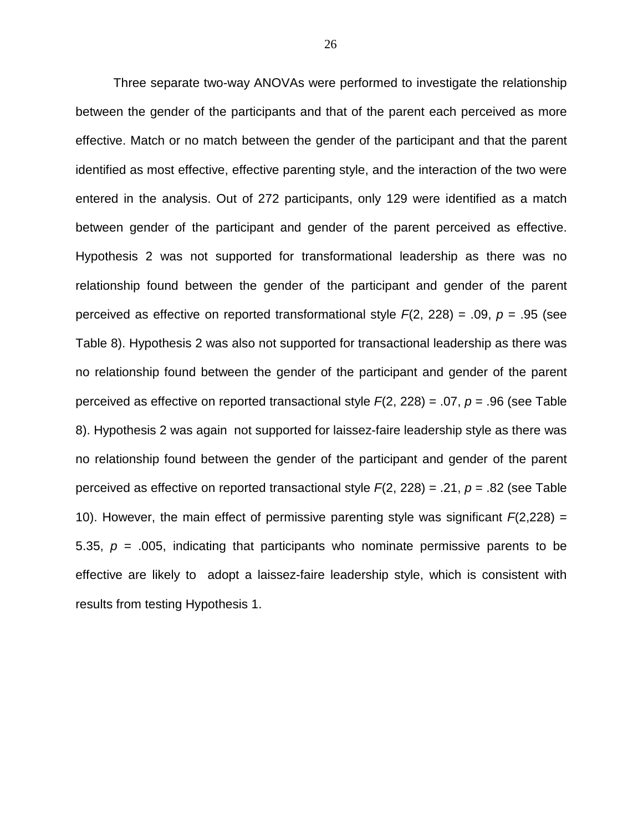Three separate two-way ANOVAs were performed to investigate the relationship between the gender of the participants and that of the parent each perceived as more effective. Match or no match between the gender of the participant and that the parent identified as most effective, effective parenting style, and the interaction of the two were entered in the analysis. Out of 272 participants, only 129 were identified as a match between gender of the participant and gender of the parent perceived as effective. Hypothesis 2 was not supported for transformational leadership as there was no relationship found between the gender of the participant and gender of the parent perceived as effective on reported transformational style  $F(2, 228) = .09$ ,  $p = .95$  (see Table 8). Hypothesis 2 was also not supported for transactional leadership as there was no relationship found between the gender of the participant and gender of the parent perceived as effective on reported transactional style  $F(2, 228) = .07$ ,  $p = .96$  (see Table 8). Hypothesis 2 was again not supported for laissez-faire leadership style as there was no relationship found between the gender of the participant and gender of the parent perceived as effective on reported transactional style  $F(2, 228) = .21$ ,  $p = .82$  (see Table 10). However, the main effect of permissive parenting style was significant  $F(2,228) =$ 5.35,  $p = 0.005$ , indicating that participants who nominate permissive parents to be effective are likely to adopt a laissez-faire leadership style, which is consistent with results from testing Hypothesis 1.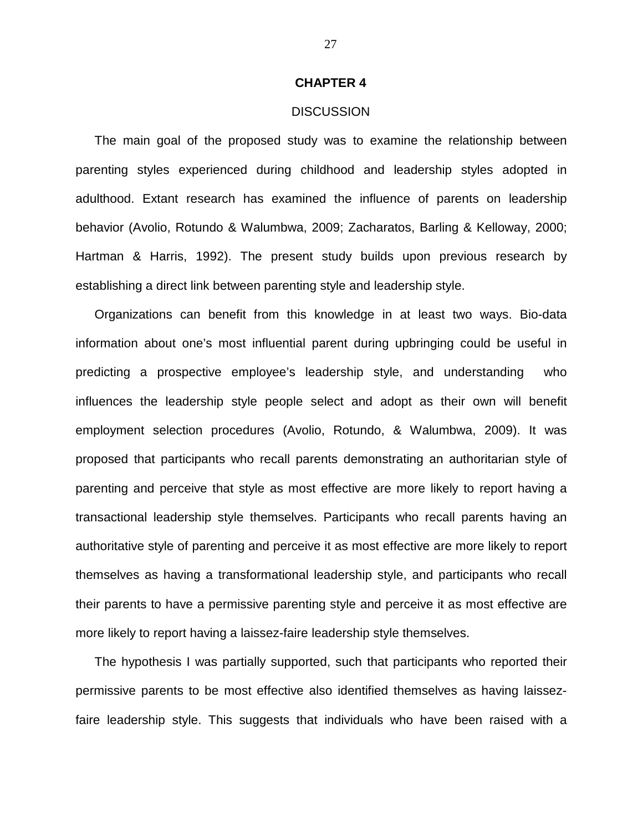#### **CHAPTER 4**

#### **DISCUSSION**

The main goal of the proposed study was to examine the relationship between parenting styles experienced during childhood and leadership styles adopted in adulthood. Extant research has examined the influence of parents on leadership behavior (Avolio, Rotundo & Walumbwa, 2009; Zacharatos, Barling & Kelloway, 2000; Hartman & Harris, 1992). The present study builds upon previous research by establishing a direct link between parenting style and leadership style.

Organizations can benefit from this knowledge in at least two ways. Bio-data information about one's most influential parent during upbringing could be useful in predicting a prospective employee's leadership style, and understanding who influences the leadership style people select and adopt as their own will benefit employment selection procedures (Avolio, Rotundo, & Walumbwa, 2009). It was proposed that participants who recall parents demonstrating an authoritarian style of parenting and perceive that style as most effective are more likely to report having a transactional leadership style themselves. Participants who recall parents having an authoritative style of parenting and perceive it as most effective are more likely to report themselves as having a transformational leadership style, and participants who recall their parents to have a permissive parenting style and perceive it as most effective are more likely to report having a laissez-faire leadership style themselves.

The hypothesis I was partially supported, such that participants who reported their permissive parents to be most effective also identified themselves as having laissezfaire leadership style. This suggests that individuals who have been raised with a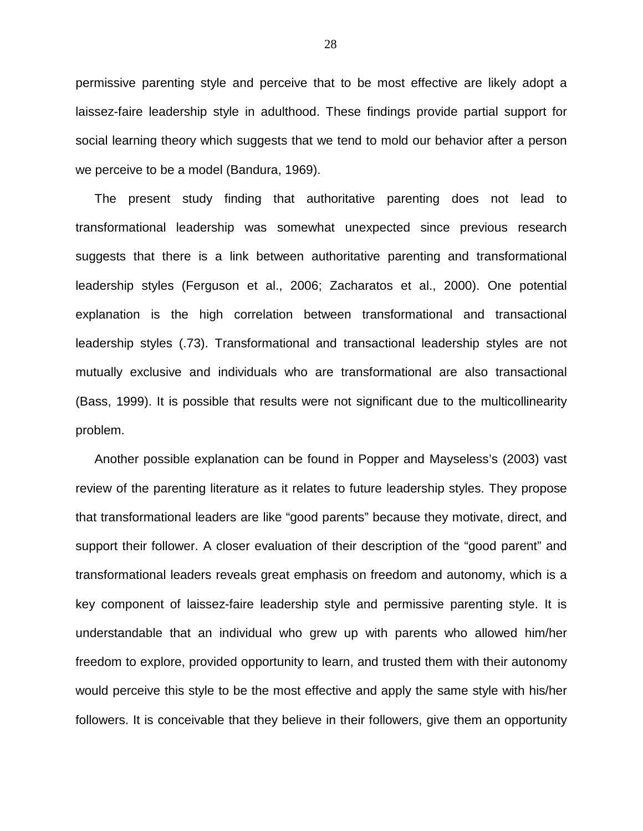permissive parenting style and perceive that to be most effective are likely adopt a laissez-faire leadership style in adulthood. These findings provide partial support for social learning theory which suggests that we tend to mold our behavior after a person we perceive to be a model (Bandura, 1969).

The present study finding that authoritative parenting does not lead to transformational leadership was somewhat unexpected since previous research suggests that there is a link between authoritative parenting and transformational leadership styles (Ferguson et al., 2006; Zacharatos et al., 2000). One potential explanation is the high correlation between transformational and transactional leadership styles (.73). Transformational and transactional leadership styles are not mutually exclusive and individuals who are transformational are also transactional (Bass, 1999). It is possible that results were not significant due to the multicollinearity problem.

Another possible explanation can be found in Popper and Mayseless's (2003) vast review of the parenting literature as it relates to future leadership styles. They propose that transformational leaders are like "good parents" because they motivate, direct, and support their follower. A closer evaluation of their description of the "good parent" and transformational leaders reveals great emphasis on freedom and autonomy, which is a key component of laissez-faire leadership style and permissive parenting style. It is understandable that an individual who grew up with parents who allowed him/her freedom to explore, provided opportunity to learn, and trusted them with their autonomy would perceive this style to be the most effective and apply the same style with his/her followers. It is conceivable that they believe in their followers, give them an opportunity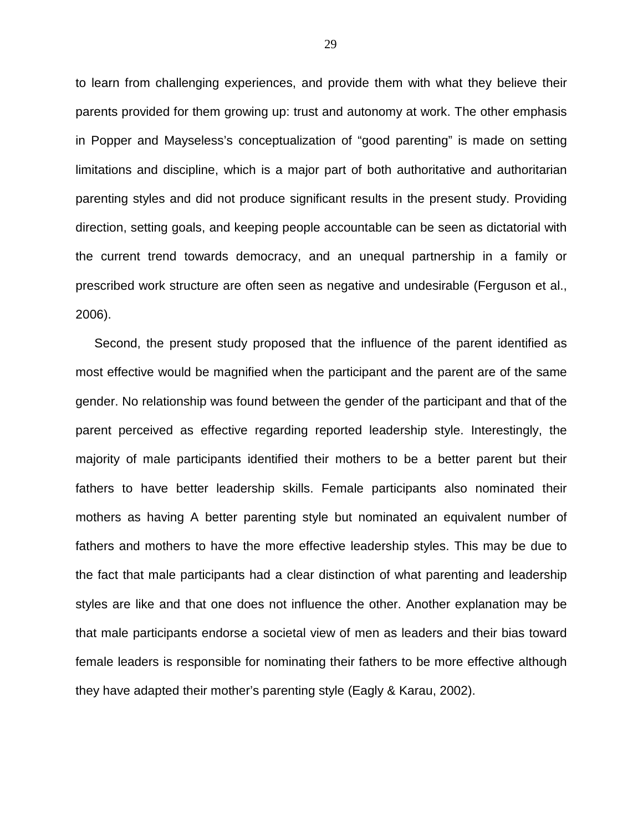to learn from challenging experiences, and provide them with what they believe their parents provided for them growing up: trust and autonomy at work. The other emphasis in Popper and Mayseless's conceptualization of "good parenting" is made on setting limitations and discipline, which is a major part of both authoritative and authoritarian parenting styles and did not produce significant results in the present study. Providing direction, setting goals, and keeping people accountable can be seen as dictatorial with the current trend towards democracy, and an unequal partnership in a family or prescribed work structure are often seen as negative and undesirable (Ferguson et al., 2006).

Second, the present study proposed that the influence of the parent identified as most effective would be magnified when the participant and the parent are of the same gender. No relationship was found between the gender of the participant and that of the parent perceived as effective regarding reported leadership style. Interestingly, the majority of male participants identified their mothers to be a better parent but their fathers to have better leadership skills. Female participants also nominated their mothers as having A better parenting style but nominated an equivalent number of fathers and mothers to have the more effective leadership styles. This may be due to the fact that male participants had a clear distinction of what parenting and leadership styles are like and that one does not influence the other. Another explanation may be that male participants endorse a societal view of men as leaders and their bias toward female leaders is responsible for nominating their fathers to be more effective although they have adapted their mother's parenting style (Eagly & Karau, 2002).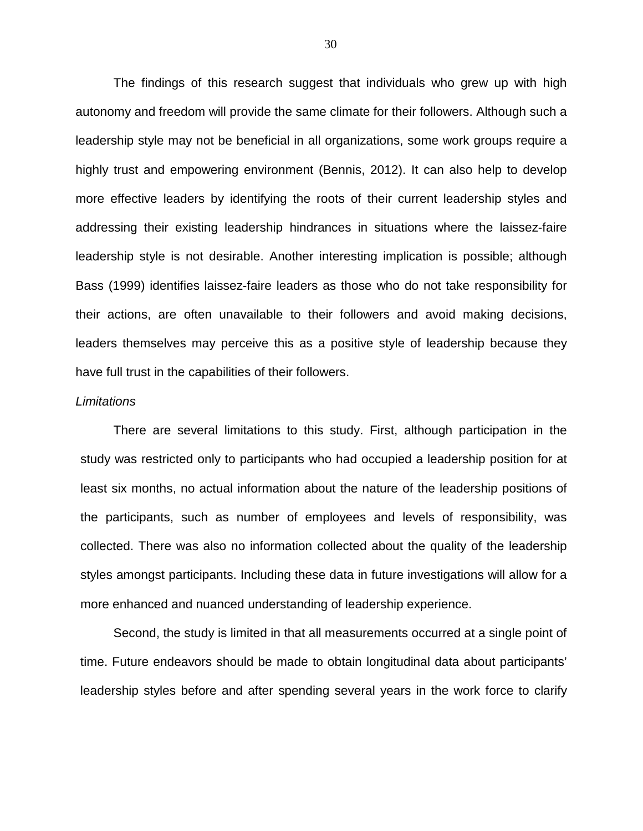The findings of this research suggest that individuals who grew up with high autonomy and freedom will provide the same climate for their followers. Although such a leadership style may not be beneficial in all organizations, some work groups require a highly trust and empowering environment (Bennis, 2012). It can also help to develop more effective leaders by identifying the roots of their current leadership styles and addressing their existing leadership hindrances in situations where the laissez-faire leadership style is not desirable. Another interesting implication is possible; although Bass (1999) identifies laissez-faire leaders as those who do not take responsibility for their actions, are often unavailable to their followers and avoid making decisions, leaders themselves may perceive this as a positive style of leadership because they have full trust in the capabilities of their followers.

#### **Limitations**

 There are several limitations to this study. First, although participation in the study was restricted only to participants who had occupied a leadership position for at least six months, no actual information about the nature of the leadership positions of the participants, such as number of employees and levels of responsibility, was collected. There was also no information collected about the quality of the leadership styles amongst participants. Including these data in future investigations will allow for a more enhanced and nuanced understanding of leadership experience.

Second, the study is limited in that all measurements occurred at a single point of time. Future endeavors should be made to obtain longitudinal data about participants' leadership styles before and after spending several years in the work force to clarify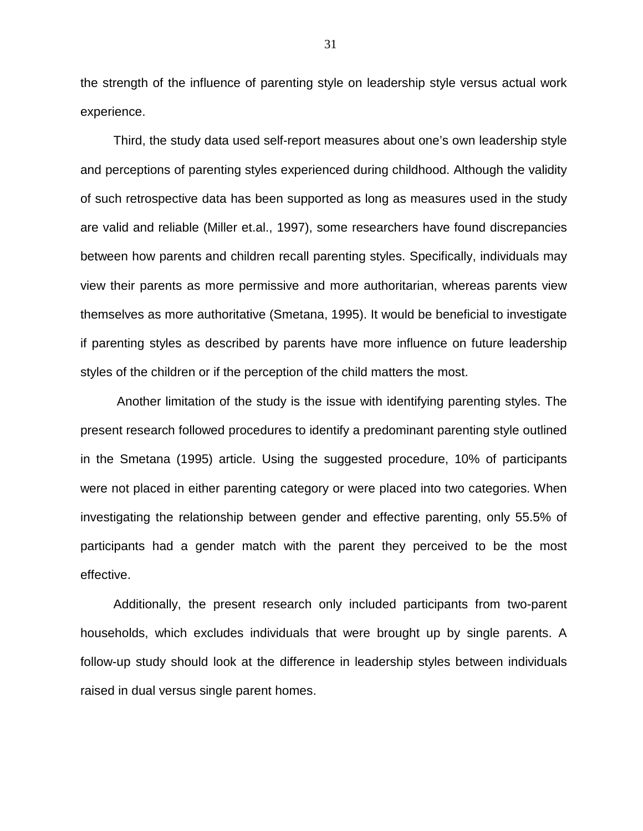the strength of the influence of parenting style on leadership style versus actual work experience.

Third, the study data used self-report measures about one's own leadership style and perceptions of parenting styles experienced during childhood. Although the validity of such retrospective data has been supported as long as measures used in the study are valid and reliable (Miller et.al., 1997), some researchers have found discrepancies between how parents and children recall parenting styles. Specifically, individuals may view their parents as more permissive and more authoritarian, whereas parents view themselves as more authoritative (Smetana, 1995). It would be beneficial to investigate if parenting styles as described by parents have more influence on future leadership styles of the children or if the perception of the child matters the most.

 Another limitation of the study is the issue with identifying parenting styles. The present research followed procedures to identify a predominant parenting style outlined in the Smetana (1995) article. Using the suggested procedure, 10% of participants were not placed in either parenting category or were placed into two categories. When investigating the relationship between gender and effective parenting, only 55.5% of participants had a gender match with the parent they perceived to be the most effective.

Additionally, the present research only included participants from two-parent households, which excludes individuals that were brought up by single parents. A follow-up study should look at the difference in leadership styles between individuals raised in dual versus single parent homes.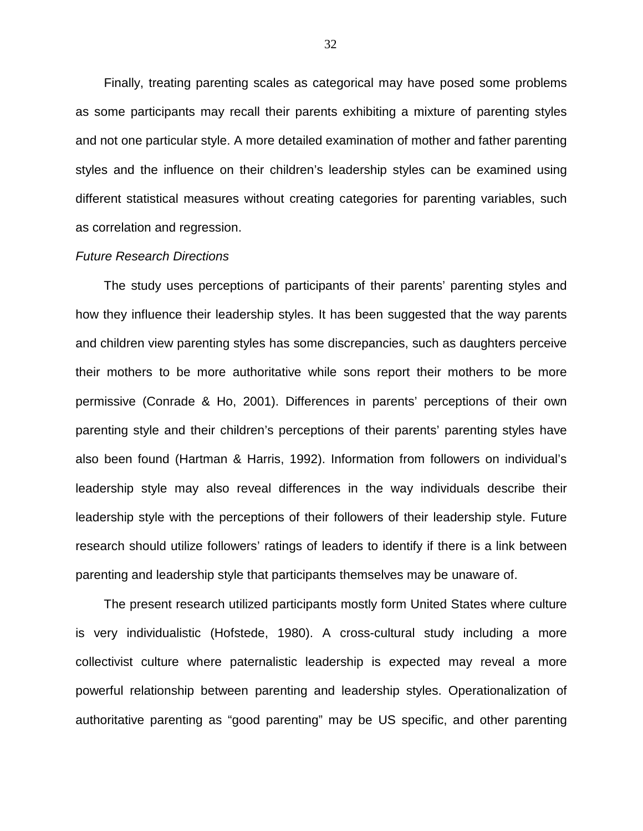Finally, treating parenting scales as categorical may have posed some problems as some participants may recall their parents exhibiting a mixture of parenting styles and not one particular style. A more detailed examination of mother and father parenting styles and the influence on their children's leadership styles can be examined using different statistical measures without creating categories for parenting variables, such as correlation and regression.

#### Future Research Directions

The study uses perceptions of participants of their parents' parenting styles and how they influence their leadership styles. It has been suggested that the way parents and children view parenting styles has some discrepancies, such as daughters perceive their mothers to be more authoritative while sons report their mothers to be more permissive (Conrade & Ho, 2001). Differences in parents' perceptions of their own parenting style and their children's perceptions of their parents' parenting styles have also been found (Hartman & Harris, 1992). Information from followers on individual's leadership style may also reveal differences in the way individuals describe their leadership style with the perceptions of their followers of their leadership style. Future research should utilize followers' ratings of leaders to identify if there is a link between parenting and leadership style that participants themselves may be unaware of.

The present research utilized participants mostly form United States where culture is very individualistic (Hofstede, 1980). A cross-cultural study including a more collectivist culture where paternalistic leadership is expected may reveal a more powerful relationship between parenting and leadership styles. Operationalization of authoritative parenting as "good parenting" may be US specific, and other parenting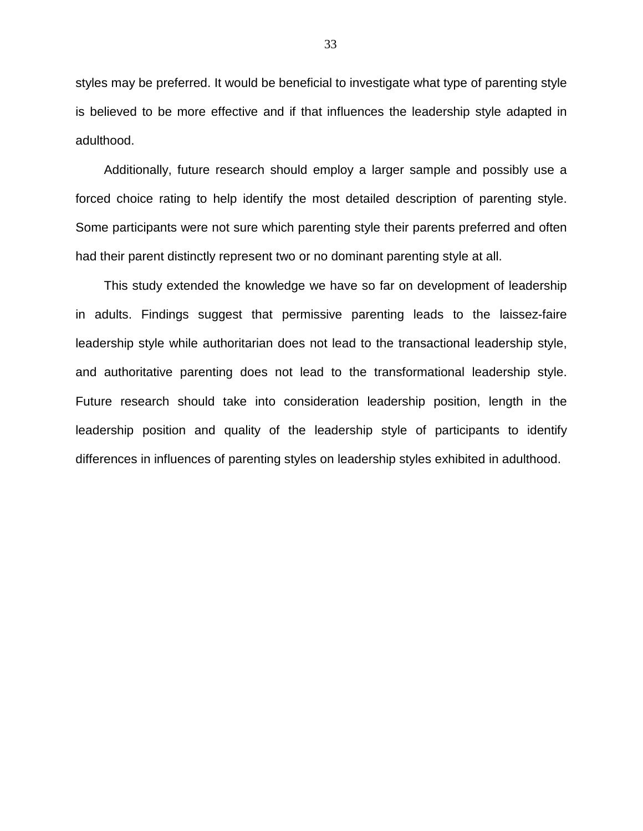styles may be preferred. It would be beneficial to investigate what type of parenting style is believed to be more effective and if that influences the leadership style adapted in adulthood.

Additionally, future research should employ a larger sample and possibly use a forced choice rating to help identify the most detailed description of parenting style. Some participants were not sure which parenting style their parents preferred and often had their parent distinctly represent two or no dominant parenting style at all.

This study extended the knowledge we have so far on development of leadership in adults. Findings suggest that permissive parenting leads to the laissez-faire leadership style while authoritarian does not lead to the transactional leadership style, and authoritative parenting does not lead to the transformational leadership style. Future research should take into consideration leadership position, length in the leadership position and quality of the leadership style of participants to identify differences in influences of parenting styles on leadership styles exhibited in adulthood.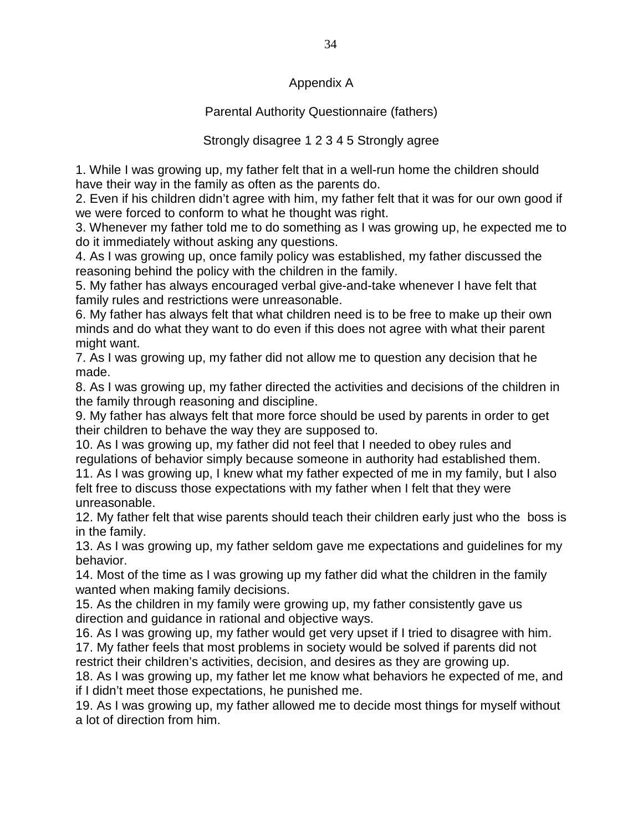## Appendix A

## Parental Authority Questionnaire (fathers)

## Strongly disagree 1 2 3 4 5 Strongly agree

1. While I was growing up, my father felt that in a well-run home the children should have their way in the family as often as the parents do.

2. Even if his children didn't agree with him, my father felt that it was for our own good if we were forced to conform to what he thought was right.

3. Whenever my father told me to do something as I was growing up, he expected me to do it immediately without asking any questions.

4. As I was growing up, once family policy was established, my father discussed the reasoning behind the policy with the children in the family.

5. My father has always encouraged verbal give-and-take whenever I have felt that family rules and restrictions were unreasonable.

6. My father has always felt that what children need is to be free to make up their own minds and do what they want to do even if this does not agree with what their parent might want.

7. As I was growing up, my father did not allow me to question any decision that he made.

8. As I was growing up, my father directed the activities and decisions of the children in the family through reasoning and discipline.

9. My father has always felt that more force should be used by parents in order to get their children to behave the way they are supposed to.

10. As I was growing up, my father did not feel that I needed to obey rules and regulations of behavior simply because someone in authority had established them.

11. As I was growing up, I knew what my father expected of me in my family, but I also felt free to discuss those expectations with my father when I felt that they were unreasonable.

12. My father felt that wise parents should teach their children early just who the boss is in the family.

13. As I was growing up, my father seldom gave me expectations and guidelines for my behavior.

14. Most of the time as I was growing up my father did what the children in the family wanted when making family decisions.

15. As the children in my family were growing up, my father consistently gave us direction and guidance in rational and objective ways.

16. As I was growing up, my father would get very upset if I tried to disagree with him.

17. My father feels that most problems in society would be solved if parents did not restrict their children's activities, decision, and desires as they are growing up.

18. As I was growing up, my father let me know what behaviors he expected of me, and if I didn't meet those expectations, he punished me.

19. As I was growing up, my father allowed me to decide most things for myself without a lot of direction from him.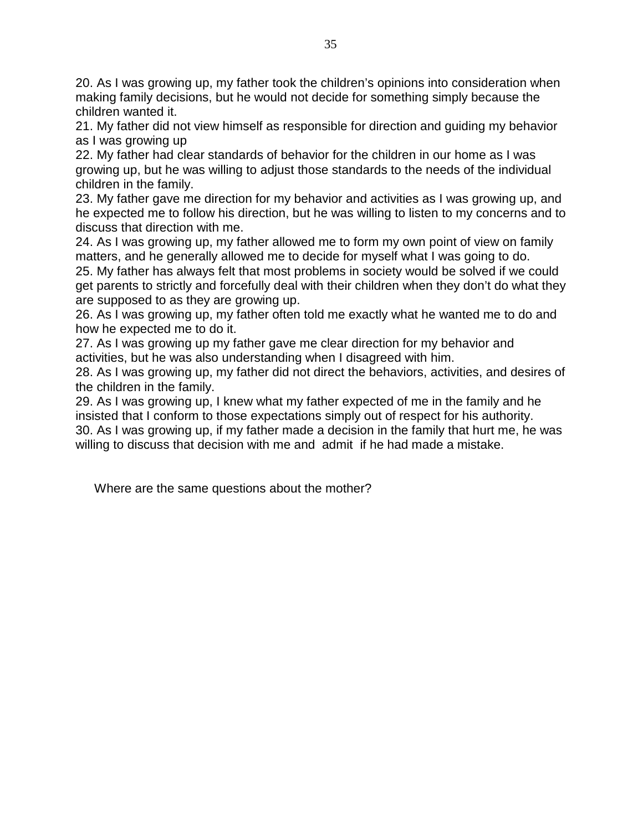20. As I was growing up, my father took the children's opinions into consideration when making family decisions, but he would not decide for something simply because the children wanted it.

21. My father did not view himself as responsible for direction and guiding my behavior as I was growing up

22. My father had clear standards of behavior for the children in our home as I was growing up, but he was willing to adjust those standards to the needs of the individual children in the family.

23. My father gave me direction for my behavior and activities as I was growing up, and he expected me to follow his direction, but he was willing to listen to my concerns and to discuss that direction with me.

24. As I was growing up, my father allowed me to form my own point of view on family matters, and he generally allowed me to decide for myself what I was going to do. 25. My father has always felt that most problems in society would be solved if we could get parents to strictly and forcefully deal with their children when they don't do what they are supposed to as they are growing up.

26. As I was growing up, my father often told me exactly what he wanted me to do and how he expected me to do it.

27. As I was growing up my father gave me clear direction for my behavior and activities, but he was also understanding when I disagreed with him.

28. As I was growing up, my father did not direct the behaviors, activities, and desires of the children in the family.

29. As I was growing up, I knew what my father expected of me in the family and he insisted that I conform to those expectations simply out of respect for his authority. 30. As I was growing up, if my father made a decision in the family that hurt me, he was willing to discuss that decision with me and admit if he had made a mistake.

Where are the same questions about the mother?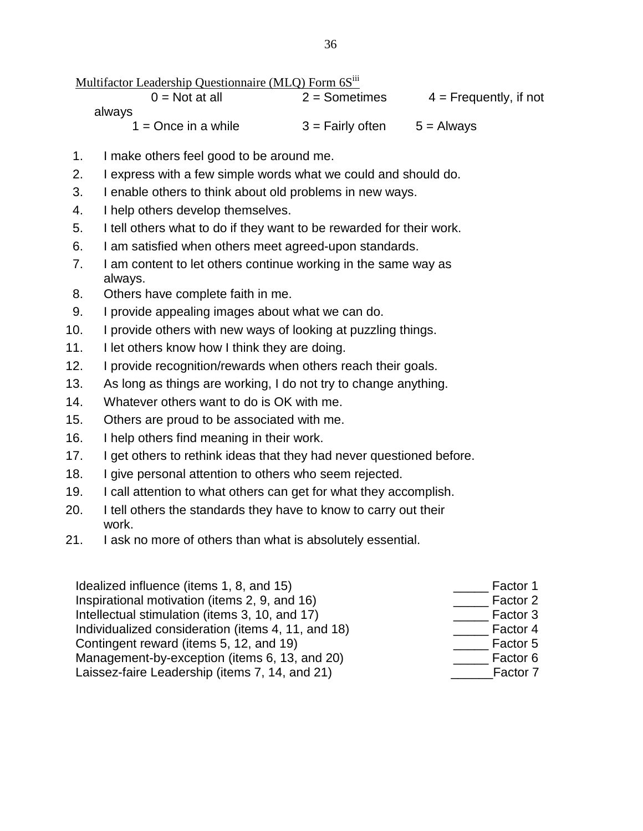Multifactor Leadership Questionnaire (MLO) Form 6S<sup>iii</sup>

 $0 = Not$  at all  $2 = Sometimes$   $4 = Frequently$ , if not always  $1 =$ Once in a while  $3 =$  Fairly often  $5 =$  Always

- 1. I make others feel good to be around me.
- 2. I express with a few simple words what we could and should do.
- 3. I enable others to think about old problems in new ways.
- 4. I help others develop themselves.
- 5. I tell others what to do if they want to be rewarded for their work.
- 6. I am satisfied when others meet agreed-upon standards.
- 7. I am content to let others continue working in the same way as always.
- 8. Others have complete faith in me.
- 9. I provide appealing images about what we can do.
- 10. I provide others with new ways of looking at puzzling things.
- 11. I let others know how I think they are doing.
- 12. I provide recognition/rewards when others reach their goals.
- 13. As long as things are working, I do not try to change anything.
- 14. Whatever others want to do is OK with me.
- 15. Others are proud to be associated with me.
- 16. I help others find meaning in their work.
- 17. I get others to rethink ideas that they had never questioned before.
- 18. I give personal attention to others who seem rejected.
- 19. I call attention to what others can get for what they accomplish.
- 20. I tell others the standards they have to know to carry out their work.
- 21. I ask no more of others than what is absolutely essential.

Idealized influence (items  $1, 8$ , and  $15$ ) Inspirational motivation (items  $2$ ,  $9$ , and  $16$ ) Intellectual stimulation (items  $3, 10,$  and  $17$ ) Individualized consideration (items 4, 11, and 18) Contingent reward (items 5, 12, and 19) Management-by-exception (items 6, 13, and 20) Laissez-faire Leadership (items 7, 14, and 21)

| Factor 1 |
|----------|
| Factor 2 |
| Factor 3 |
| Factor 4 |
| Factor 5 |
| Factor 6 |
| Factor 7 |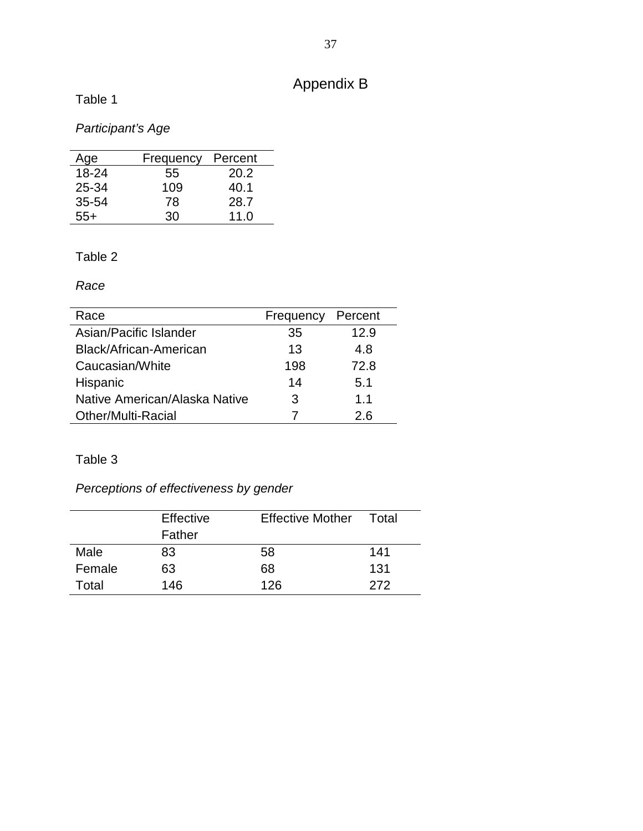## Appendix B

Table 1

## Participant's Age

| Age       | Frequency | Percent |
|-----------|-----------|---------|
| 18-24     | 55        | 20.2    |
| 25-34     | 109       | 40.1    |
| $35 - 54$ | 78        | 28.7    |
| 55+       | 30        | 11.0    |

## Table 2

Race

| Race                          | Frequency | Percent |
|-------------------------------|-----------|---------|
| Asian/Pacific Islander        | 35        | 12.9    |
| Black/African-American        | 13        | 4.8     |
| Caucasian/White               | 198       | 72.8    |
| Hispanic                      | 14        | 5.1     |
| Native American/Alaska Native | З         | $1\;1$  |
| <b>Other/Multi-Racial</b>     |           | 2.6     |

## Table 3

## Perceptions of effectiveness by gender

|        | Effective<br>Father | <b>Effective Mother</b> | Total |
|--------|---------------------|-------------------------|-------|
| Male   | 83                  | 58                      | 141   |
| Female | 63                  | 68                      | 131   |
| Total  | 146                 | 126                     | 272   |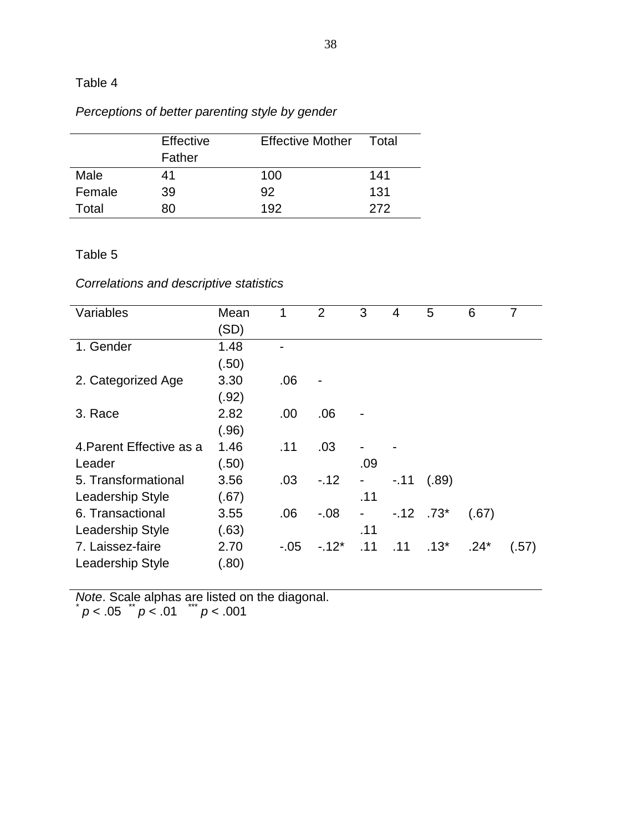## Table 4

## Perceptions of better parenting style by gender

|        | Effective<br>Father | <b>Effective Mother</b> | Total |
|--------|---------------------|-------------------------|-------|
| Male   | 41                  | 100                     | 141   |
| Female | 39                  | 92                      | 131   |
| Total  | RΩ                  | 192                     | 272   |

## Table 5

## Correlations and descriptive statistics

| Variables                | Mean  |        | $\overline{2}$ | 3                        | 4      | 5           | 6      | 7     |
|--------------------------|-------|--------|----------------|--------------------------|--------|-------------|--------|-------|
|                          | (SD)  |        |                |                          |        |             |        |       |
| 1. Gender                | 1.48  |        |                |                          |        |             |        |       |
|                          |       |        |                |                          |        |             |        |       |
|                          | (.50) |        |                |                          |        |             |        |       |
| 2. Categorized Age       | 3.30  | .06    |                |                          |        |             |        |       |
|                          | (.92) |        |                |                          |        |             |        |       |
| 3. Race                  | 2.82  | .00    | .06            |                          |        |             |        |       |
|                          | (.96) |        |                |                          |        |             |        |       |
| 4. Parent Effective as a | 1.46  | .11    | .03            |                          |        |             |        |       |
| Leader                   | (.50) |        |                | .09                      |        |             |        |       |
| 5. Transformational      | 3.56  | .03    | $-12$          | $\overline{\phantom{0}}$ | $-.11$ | (.89)       |        |       |
| Leadership Style         | (.67) |        |                | .11                      |        |             |        |       |
| 6. Transactional         | 3.55  | .06    | $-0.08$        |                          |        | $-.12$ .73* | (.67)  |       |
| Leadership Style         | (.63) |        |                | .11                      |        |             |        |       |
| 7. Laissez-faire         | 2.70  | $-.05$ | $-12*$         | .11                      | .11    | $.13*$      | $.24*$ | (.57) |
| Leadership Style         | (.80) |        |                |                          |        |             |        |       |

*Note*. Scale alphas are listed on the diagonal.<br> $(p < .05 \times p < .01 \times p < .001$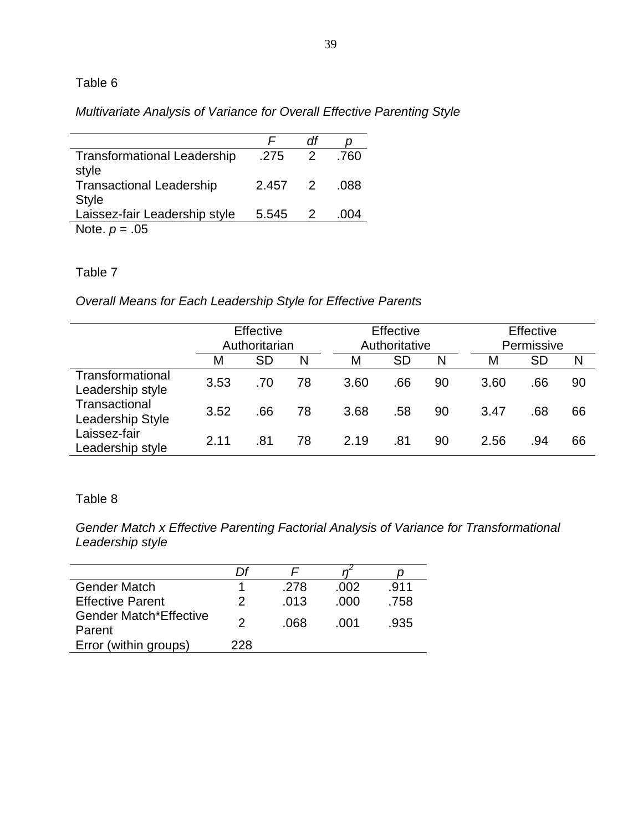## Table 6

Multivariate Analysis of Variance for Overall Effective Parenting Style

| <b>Transformational Leadership</b><br>style     | .275  | $\overline{2}$ | .760    |
|-------------------------------------------------|-------|----------------|---------|
| <b>Transactional Leadership</b><br><b>Style</b> | 2.457 | $\overline{2}$ | .088    |
| Laissez-fair Leadership style                   | 5.545 | $\mathcal{P}$  | (1)(14) |
| Note. $p = .05$                                 |       |                |         |

### Table 7

Overall Means for Each Leadership Style for Effective Parents

|                                      | Effective<br>Authoritarian |           |    | Effective<br>Authoritative |           |    | Effective<br>Permissive |           |    |
|--------------------------------------|----------------------------|-----------|----|----------------------------|-----------|----|-------------------------|-----------|----|
|                                      | M                          | <b>SD</b> | N  | M                          | <b>SD</b> | N  | М                       | <b>SD</b> | N  |
| Transformational<br>Leadership style | 3.53                       | .70       | 78 | 3.60                       | .66       | 90 | 3.60                    | .66       | 90 |
| Transactional<br>Leadership Style    | 3.52                       | .66       | 78 | 3.68                       | .58       | 90 | 3.47                    | .68       | 66 |
| Laissez-fair<br>Leadership style     | 2.11                       | .81       | 78 | 2.19                       | .81       | 90 | 2.56                    | .94       | 66 |

### Table 8

Gender Match x Effective Parenting Factorial Analysis of Variance for Transformational Leadership style

|                                         | l )t |      |      |      |
|-----------------------------------------|------|------|------|------|
| <b>Gender Match</b>                     |      | .278 | .002 | .911 |
| <b>Effective Parent</b>                 | 2    | .013 | .000 | .758 |
| <b>Gender Match*Effective</b><br>Parent |      | .068 | .001 | -935 |
| Error (within groups)                   | 228  |      |      |      |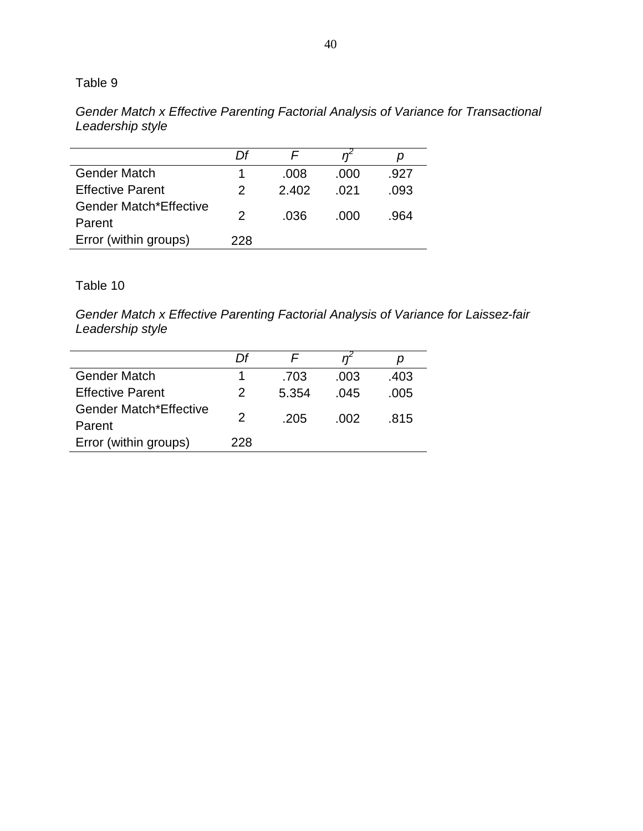## Table 9

Gender Match x Effective Parenting Factorial Analysis of Variance for Transactional Leadership style

|                                         | ΓJf |       |      |      |
|-----------------------------------------|-----|-------|------|------|
| <b>Gender Match</b>                     |     | .008  | .000 | .927 |
| <b>Effective Parent</b>                 | 2   | 2.402 |      | .093 |
| <b>Gender Match*Effective</b><br>Parent | 2   | .036  | .000 | .964 |
| Error (within groups)                   | 228 |       |      |      |

## Table 10

Gender Match x Effective Parenting Factorial Analysis of Variance for Laissez-fair Leadership style

|                               | ΓJf |       |      | D    |
|-------------------------------|-----|-------|------|------|
| <b>Gender Match</b>           |     | .703  | .003 | .403 |
| <b>Effective Parent</b>       | 2   | 5.354 | .045 | .005 |
| <b>Gender Match*Effective</b> | 2   | -205  | -002 | .815 |
| Parent                        |     |       |      |      |
| Error (within groups)         | 228 |       |      |      |
|                               |     |       |      |      |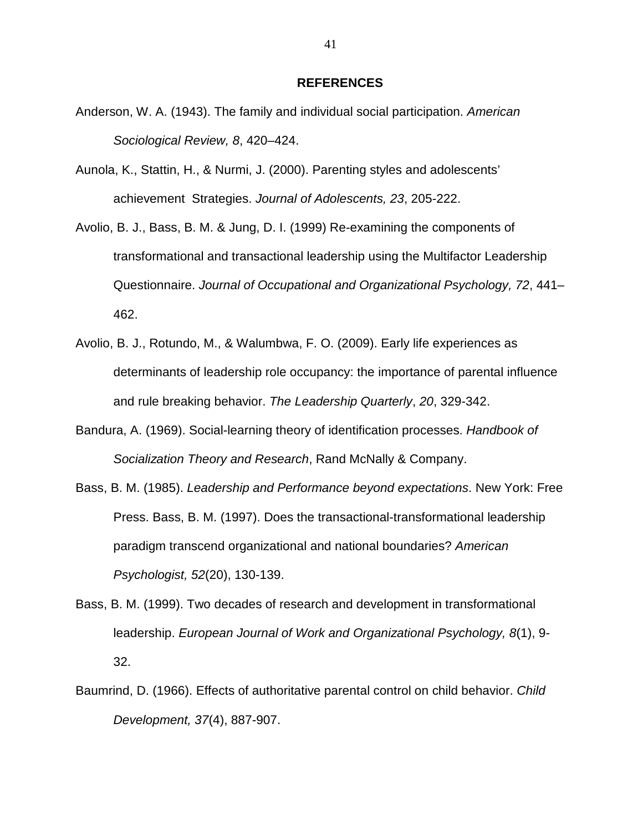#### **REFERENCES**

- Anderson, W. A. (1943). The family and individual social participation. American Sociological Review, 8, 420–424.
- Aunola, K., Stattin, H., & Nurmi, J. (2000). Parenting styles and adolescents' achievement Strategies. Journal of Adolescents, 23, 205-222.
- Avolio, B. J., Bass, B. M. & Jung, D. I. (1999) Re-examining the components of transformational and transactional leadership using the Multifactor Leadership Questionnaire. Journal of Occupational and Organizational Psychology, 72, 441– 462.
- Avolio, B. J., Rotundo, M., & Walumbwa, F. O. (2009). Early life experiences as determinants of leadership role occupancy: the importance of parental influence and rule breaking behavior. The Leadership Quarterly, 20, 329-342.
- Bandura, A. (1969). Social-learning theory of identification processes. Handbook of Socialization Theory and Research, Rand McNally & Company.
- Bass, B. M. (1985). Leadership and Performance beyond expectations. New York: Free Press. Bass, B. M. (1997). Does the transactional-transformational leadership paradigm transcend organizational and national boundaries? American Psychologist, 52(20), 130-139.
- Bass, B. M. (1999). Two decades of research and development in transformational leadership. European Journal of Work and Organizational Psychology, 8(1), 9- 32.
- Baumrind, D. (1966). Effects of authoritative parental control on child behavior. Child Development, 37(4), 887-907.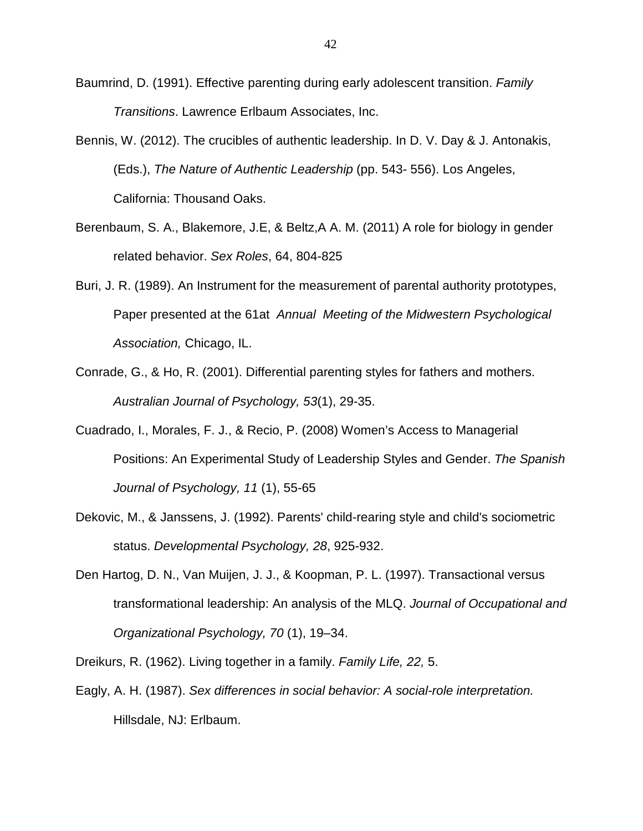- Baumrind, D. (1991). Effective parenting during early adolescent transition. Family Transitions. Lawrence Erlbaum Associates, Inc.
- Bennis, W. (2012). The crucibles of authentic leadership. In D. V. Day & J. Antonakis, (Eds.), The Nature of Authentic Leadership (pp. 543- 556). Los Angeles, California: Thousand Oaks.
- Berenbaum, S. A., Blakemore, J.E, & Beltz,A A. M. (2011) A role for biology in gender related behavior. Sex Roles, 64, 804-825
- Buri, J. R. (1989). An Instrument for the measurement of parental authority prototypes, Paper presented at the 61at Annual Meeting of the Midwestern Psychological Association, Chicago, IL.
- Conrade, G., & Ho, R. (2001). Differential parenting styles for fathers and mothers. Australian Journal of Psychology, 53(1), 29-35.
- Cuadrado, I., Morales, F. J., & Recio, P. (2008) Women's Access to Managerial Positions: An Experimental Study of Leadership Styles and Gender. The Spanish Journal of Psychology, 11 (1), 55-65
- Dekovic, M., & Janssens, J. (1992). Parents' child-rearing style and child's sociometric status. Developmental Psychology, 28, 925-932.
- Den Hartog, D. N., Van Muijen, J. J., & Koopman, P. L. (1997). Transactional versus transformational leadership: An analysis of the MLQ. Journal of Occupational and Organizational Psychology, 70 (1), 19–34.
- Dreikurs, R. (1962). Living together in a family. Family Life, 22, 5.
- Eagly, A. H. (1987). Sex differences in social behavior: A social-role interpretation. Hillsdale, NJ: Erlbaum.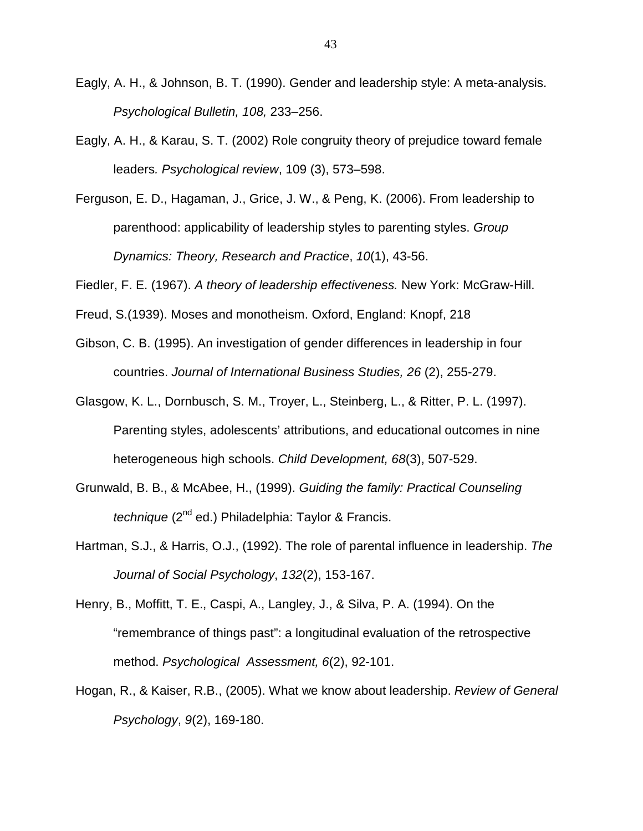- Eagly, A. H., & Johnson, B. T. (1990). Gender and leadership style: A meta-analysis. Psychological Bulletin, 108, 233–256.
- Eagly, A. H., & Karau, S. T. (2002) Role congruity theory of prejudice toward female leaders. Psychological review, 109 (3), 573–598.
- Ferguson, E. D., Hagaman, J., Grice, J. W., & Peng, K. (2006). From leadership to parenthood: applicability of leadership styles to parenting styles. Group Dynamics: Theory, Research and Practice, 10(1), 43-56.

Fiedler, F. E. (1967). A theory of leadership effectiveness. New York: McGraw-Hill.

- Freud, S.(1939). Moses and monotheism. Oxford, England: Knopf, 218
- Gibson, C. B. (1995). An investigation of gender differences in leadership in four countries. Journal of International Business Studies, 26 (2), 255-279.
- Glasgow, K. L., Dornbusch, S. M., Troyer, L., Steinberg, L., & Ritter, P. L. (1997). Parenting styles, adolescents' attributions, and educational outcomes in nine heterogeneous high schools. Child Development, 68(3), 507-529.
- Grunwald, B. B., & McAbee, H., (1999). Guiding the family: Practical Counseling technique (2<sup>nd</sup> ed.) Philadelphia: Taylor & Francis.
- Hartman, S.J., & Harris, O.J., (1992). The role of parental influence in leadership. The Journal of Social Psychology, 132(2), 153-167.
- Henry, B., Moffitt, T. E., Caspi, A., Langley, J., & Silva, P. A. (1994). On the "remembrance of things past": a longitudinal evaluation of the retrospective method. Psychological Assessment, 6(2), 92-101.
- Hogan, R., & Kaiser, R.B., (2005). What we know about leadership. Review of General Psychology, 9(2), 169-180.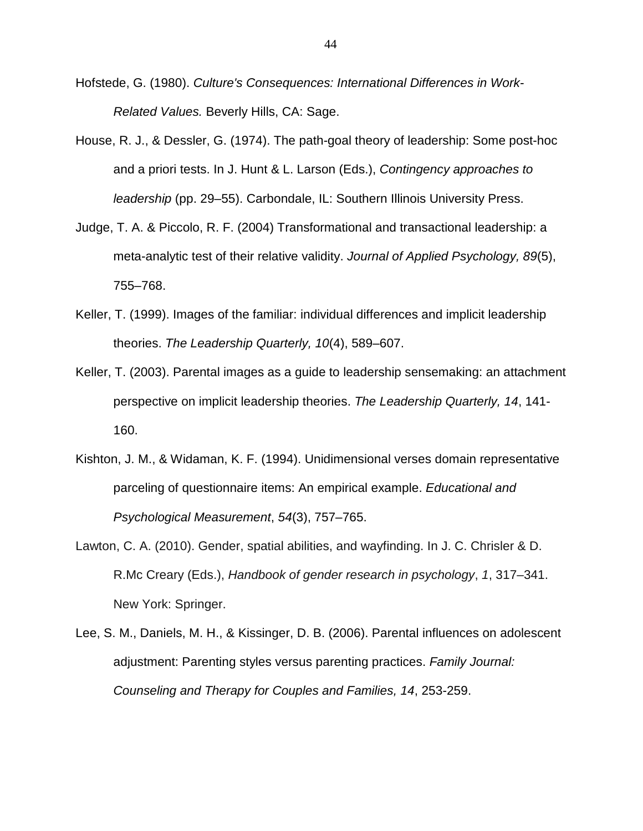- Hofstede, G. (1980). Culture's Consequences: International Differences in Work-Related Values. Beverly Hills, CA: Sage.
- House, R. J., & Dessler, G. (1974). The path-goal theory of leadership: Some post-hoc and a priori tests. In J. Hunt & L. Larson (Eds.), Contingency approaches to leadership (pp. 29–55). Carbondale, IL: Southern Illinois University Press.
- Judge, T. A. & Piccolo, R. F. (2004) Transformational and transactional leadership: a meta-analytic test of their relative validity. Journal of Applied Psychology, 89(5), 755–768.
- Keller, T. (1999). Images of the familiar: individual differences and implicit leadership theories. The Leadership Quarterly, 10(4), 589–607.
- Keller, T. (2003). Parental images as a guide to leadership sensemaking: an attachment perspective on implicit leadership theories. The Leadership Quarterly, 14, 141- 160.
- Kishton, J. M., & Widaman, K. F. (1994). Unidimensional verses domain representative parceling of questionnaire items: An empirical example. Educational and Psychological Measurement, 54(3), 757–765.
- Lawton, C. A. (2010). Gender, spatial abilities, and wayfinding. In J. C. Chrisler & D. R.Mc Creary (Eds.), Handbook of gender research in psychology, 1, 317–341. New York: Springer.
- Lee, S. M., Daniels, M. H., & Kissinger, D. B. (2006). Parental influences on adolescent adjustment: Parenting styles versus parenting practices. Family Journal: Counseling and Therapy for Couples and Families, 14, 253-259.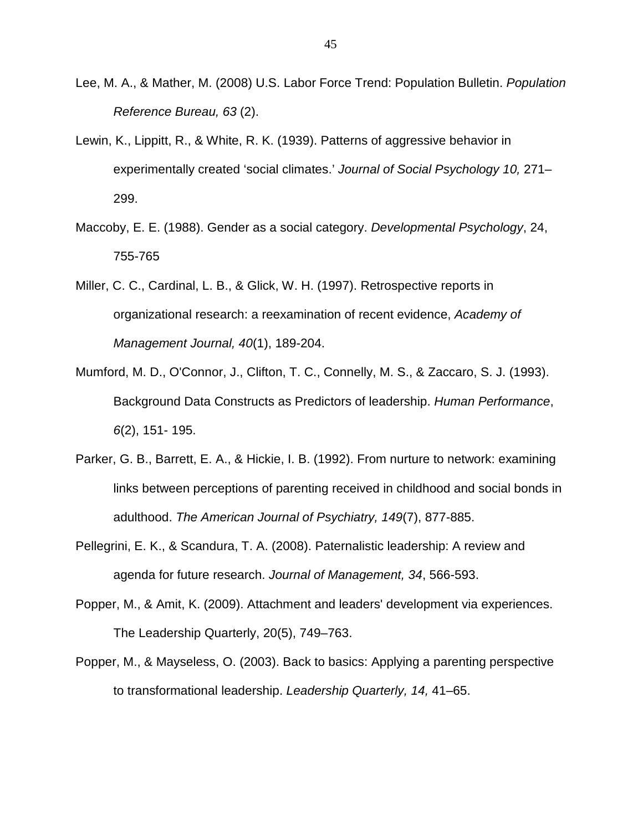- Lee, M. A., & Mather, M. (2008) U.S. Labor Force Trend: Population Bulletin. Population Reference Bureau, 63 (2).
- Lewin, K., Lippitt, R., & White, R. K. (1939). Patterns of aggressive behavior in experimentally created 'social climates.' Journal of Social Psychology 10, 271– 299.
- Maccoby, E. E. (1988). Gender as a social category. Developmental Psychology, 24, 755-765
- Miller, C. C., Cardinal, L. B., & Glick, W. H. (1997). Retrospective reports in organizational research: a reexamination of recent evidence, Academy of Management Journal, 40(1), 189-204.
- Mumford, M. D., O'Connor, J., Clifton, T. C., Connelly, M. S., & Zaccaro, S. J. (1993). Background Data Constructs as Predictors of leadership. Human Performance, 6(2), 151- 195.
- Parker, G. B., Barrett, E. A., & Hickie, I. B. (1992). From nurture to network: examining links between perceptions of parenting received in childhood and social bonds in adulthood. The American Journal of Psychiatry, 149(7), 877-885.
- Pellegrini, E. K., & Scandura, T. A. (2008). Paternalistic leadership: A review and agenda for future research. Journal of Management, 34, 566-593.
- Popper, M., & Amit, K. (2009). Attachment and leaders' development via experiences. The Leadership Quarterly, 20(5), 749–763.
- Popper, M., & Mayseless, O. (2003). Back to basics: Applying a parenting perspective to transformational leadership. Leadership Quarterly, 14, 41–65.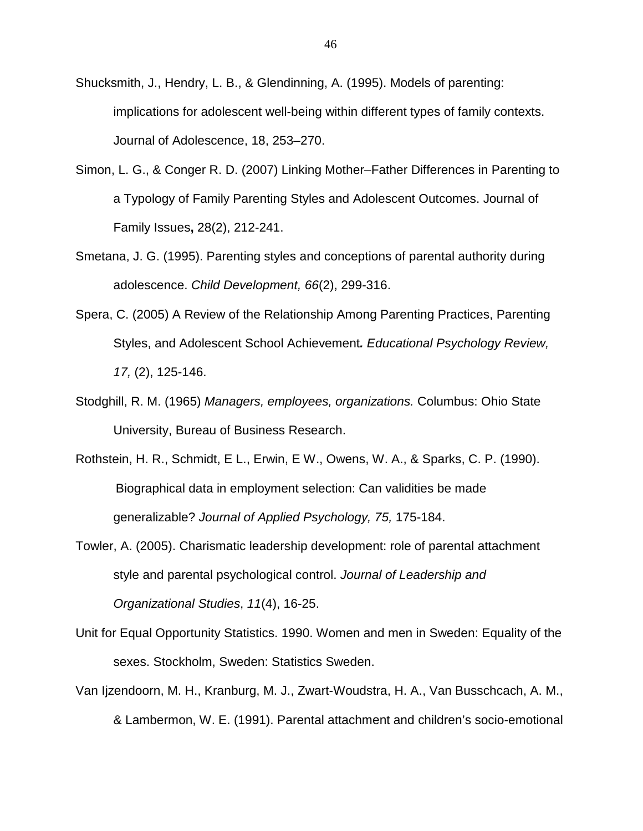Shucksmith, J., Hendry, L. B., & Glendinning, A. (1995). Models of parenting: implications for adolescent well-being within different types of family contexts. Journal of Adolescence, 18, 253–270.

- Simon, L. G., & Conger R. D. (2007) Linking Mother–Father Differences in Parenting to a Typology of Family Parenting Styles and Adolescent Outcomes. Journal of Family Issues**,** 28(2), 212-241.
- Smetana, J. G. (1995). Parenting styles and conceptions of parental authority during adolescence. Child Development, 66(2), 299-316.
- Spera, C. (2005) A Review of the Relationship Among Parenting Practices, Parenting Styles, and Adolescent School Achievement**.** Educational Psychology Review, 17, (2), 125-146.
- Stodghill, R. M. (1965) Managers, employees, organizations. Columbus: Ohio State University, Bureau of Business Research.
- Rothstein, H. R., Schmidt, E L., Erwin, E W., Owens, W. A., & Sparks, C. P. (1990). Biographical data in employment selection: Can validities be made generalizable? Journal of Applied Psychology, 75, 175-184.
- Towler, A. (2005). Charismatic leadership development: role of parental attachment style and parental psychological control. Journal of Leadership and Organizational Studies, 11(4), 16-25.
- Unit for Equal Opportunity Statistics. 1990. Women and men in Sweden: Equality of the sexes. Stockholm, Sweden: Statistics Sweden.
- Van Ijzendoorn, M. H., Kranburg, M. J., Zwart-Woudstra, H. A., Van Busschcach, A. M., & Lambermon, W. E. (1991). Parental attachment and children's socio-emotional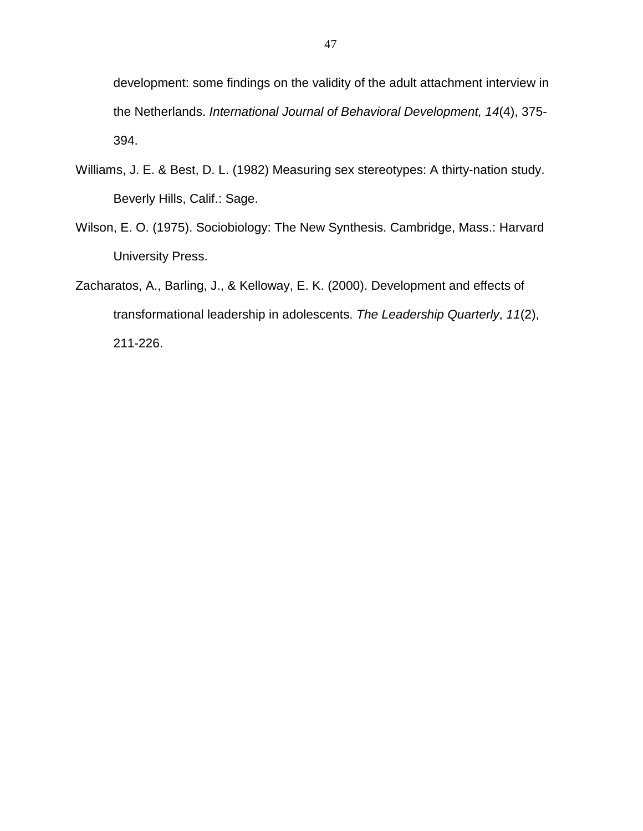development: some findings on the validity of the adult attachment interview in the Netherlands. International Journal of Behavioral Development, 14(4), 375- 394.

- Williams, J. E. & Best, D. L. (1982) Measuring sex stereotypes: A thirty-nation study. Beverly Hills, Calif.: Sage.
- Wilson, E. O. (1975). Sociobiology: The New Synthesis. Cambridge, Mass.: Harvard University Press.
- Zacharatos, A., Barling, J., & Kelloway, E. K. (2000). Development and effects of transformational leadership in adolescents. The Leadership Quarterly, 11(2), 211-226.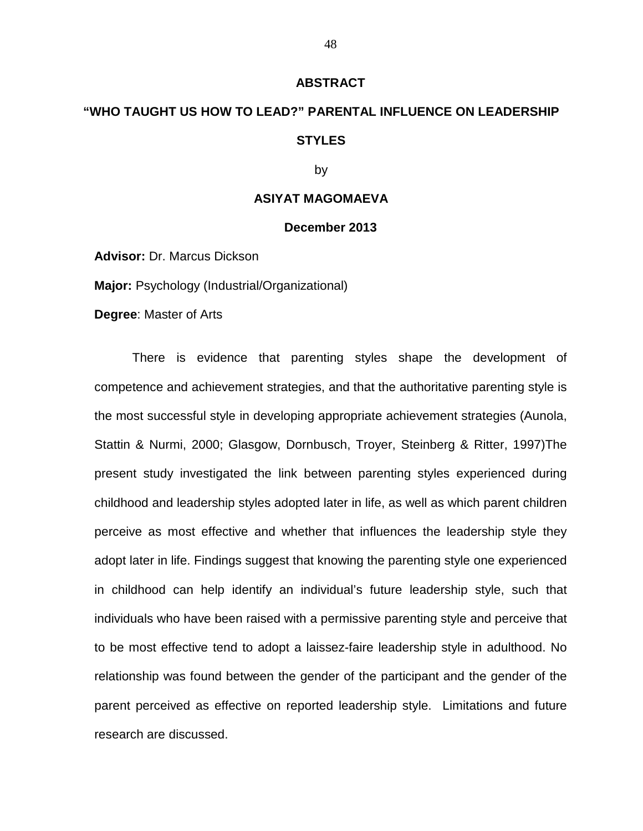#### **ABSTRACT**

## **"WHO TAUGHT US HOW TO LEAD?" PARENTAL INFLUENCE ON LEADERSHIP STYLES**

by

#### **ASIYAT MAGOMAEVA**

#### **December 2013**

**Advisor:** Dr. Marcus Dickson

**Major:** Psychology (Industrial/Organizational)

**Degree**: Master of Arts

There is evidence that parenting styles shape the development of competence and achievement strategies, and that the authoritative parenting style is the most successful style in developing appropriate achievement strategies (Aunola, Stattin & Nurmi, 2000; Glasgow, Dornbusch, Troyer, Steinberg & Ritter, 1997)The present study investigated the link between parenting styles experienced during childhood and leadership styles adopted later in life, as well as which parent children perceive as most effective and whether that influences the leadership style they adopt later in life. Findings suggest that knowing the parenting style one experienced in childhood can help identify an individual's future leadership style, such that individuals who have been raised with a permissive parenting style and perceive that to be most effective tend to adopt a laissez-faire leadership style in adulthood. No relationship was found between the gender of the participant and the gender of the parent perceived as effective on reported leadership style. Limitations and future research are discussed.